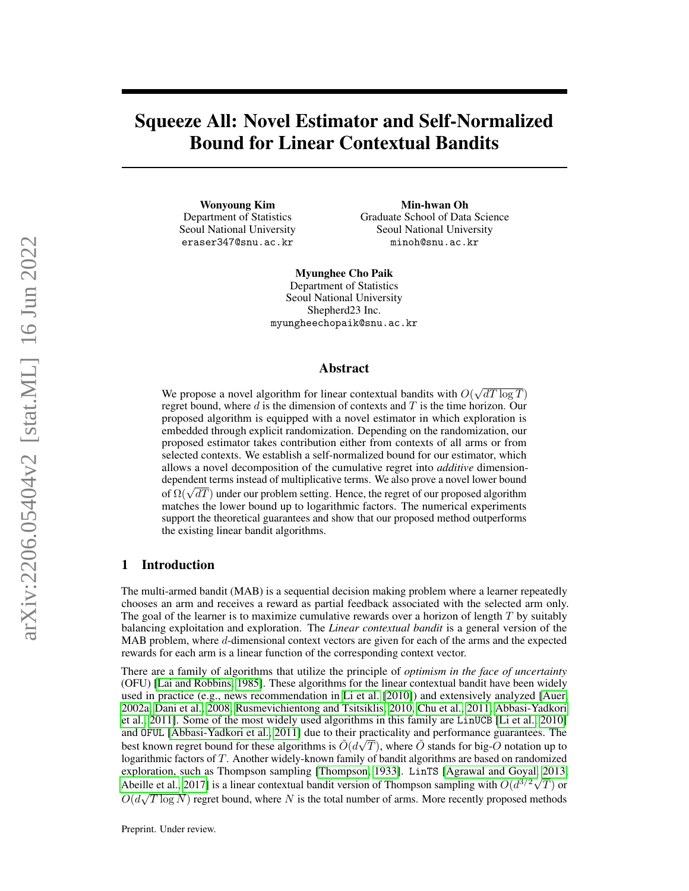# Squeeze All: Novel Estimator and Self-Normalized Bound for Linear Contextual Bandits

Wonyoung Kim Department of Statistics Seoul National University eraser347@snu.ac.kr

Min-hwan Oh Graduate School of Data Science Seoul National University minoh@snu.ac.kr

Myunghee Cho Paik Department of Statistics Seoul National University Shepherd23 Inc. myungheechopaik@snu.ac.kr

#### Abstract

We propose a novel algorithm for linear contextual bandits with  $O(\sqrt{dT \log T})$ regret bound, where  $d$  is the dimension of contexts and  $T$  is the time horizon. Our proposed algorithm is equipped with a novel estimator in which exploration is embedded through explicit randomization. Depending on the randomization, our proposed estimator takes contribution either from contexts of all arms or from selected contexts. We establish a self-normalized bound for our estimator, which allows a novel decomposition of the cumulative regret into *additive* dimensiondependent terms instead of multiplicative terms. We also prove a novel lower bound dependent terms instead of multiplicative terms. We also prove a novel lower bound<br>of  $\Omega(\sqrt{dT})$  under our problem setting. Hence, the regret of our proposed algorithm matches the lower bound up to logarithmic factors. The numerical experiments support the theoretical guarantees and show that our proposed method outperforms the existing linear bandit algorithms.

## 1 Introduction

The multi-armed bandit (MAB) is a sequential decision making problem where a learner repeatedly chooses an arm and receives a reward as partial feedback associated with the selected arm only. The goal of the learner is to maximize cumulative rewards over a horizon of length  $T$  by suitably balancing exploitation and exploration. The *Linear contextual bandit* is a general version of the MAB problem, where d-dimensional context vectors are given for each of the arms and the expected rewards for each arm is a linear function of the corresponding context vector.

There are a family of algorithms that utilize the principle of *optimism in the face of uncertainty* (OFU) [\[Lai and Robbins, 1985\]](#page-10-0). These algorithms for the linear contextual bandit have been widely used in practice (e.g., news recommendation in [Li et al.](#page-10-1) [\[2010\]](#page-10-1)) and extensively analyzed [\[Auer,](#page-9-0) [2002a,](#page-9-0) [Dani et al., 2008,](#page-9-1) [Rusmevichientong and Tsitsiklis, 2010,](#page-10-2) [Chu et al., 2011,](#page-9-2) [Abbasi-Yadkori](#page-9-3) [et al., 2011\]](#page-9-3). Some of the most widely used algorithms in this family are LinUCB [\[Li et al., 2010\]](#page-10-1) and OFUL [\[Abbasi-Yadkori et al., 2011\]](#page-9-3) due to their practicality and performance guarantees. The best known regret bound for these algorithms is  $\tilde O(d\sqrt{T})$ , where  $\tilde O$  stands for big- $\tilde O$  notation up to logarithmic factors of T. Another widely-known family of bandit algorithms are based on randomized exploration, such as Thompson sampling [\[Thompson, 1933\]](#page-10-3). LinTS [\[Agrawal and Goyal, 2013,](#page-9-4) [Abeille et al., 2017\]](#page-9-5) is a linear contextual bandit version of Thompson sampling with  $\tilde{O}(d^{3/2}\sqrt{T})$  or  $\tilde{O}(d\sqrt{T \log N})$  regret bound, where N is the total number of arms. More recently proposed methods

Preprint. Under review.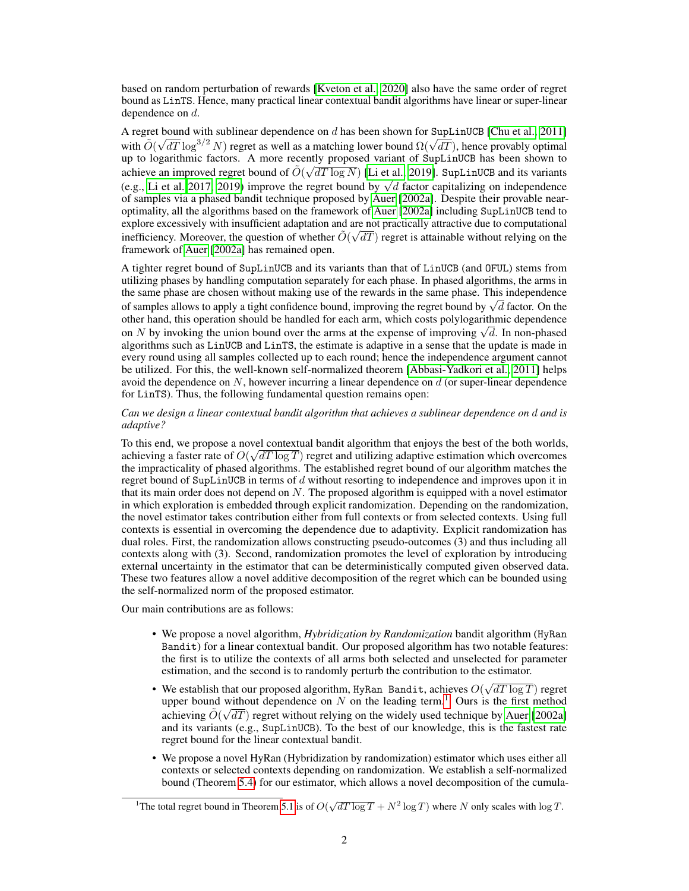based on random perturbation of rewards [\[Kveton et al., 2020\]](#page-10-4) also have the same order of regret bound as LinTS. Hence, many practical linear contextual bandit algorithms have linear or super-linear dependence on d.

A regret bound with sublinear dependence on d has been shown for SupLinUCB [\[Chu et al., 2011\]](#page-9-2) A regret bound with submitted dependence on a has been shown for supplember (Chu et al., 2011)<br>with  $\tilde{O}(\sqrt{dT} \log^{3/2} N)$  regret as well as a matching lower bound  $\Omega(\sqrt{dT})$ , hence provably optimal up to logarithmic factors. A more recently proposed variant of SupLinUCB has been shown to achieve an improved regret bound of  $\tilde{O}(\sqrt{dT \log N})$  [\[Li et al., 2019\]](#page-10-5). SupLinUCB and its variants achieve an improved regret bound of  $O(\sqrt{a}T \log N)$  [Li et al., 2019]. Superfloods and its variants (e.g., [Li et al. 2017,](#page-10-6) [2019\)](#page-10-5) improve the regret bound by  $\sqrt{d}$  factor capitalizing on independence of samples via a phased bandit technique proposed by [Auer](#page-9-0) [\[2002a\]](#page-9-0). Despite their provable nearoptimality, all the algorithms based on the framework of [Auer](#page-9-0) [\[2002a\]](#page-9-0) including SupLinUCB tend to explore excessively with insufficient adaptation and are not practically attractive due to computational inefficiency. Moreover, the question of whether  $\tilde{O}(\sqrt{dT})$  regret is attainable without relying on the framework of [Auer](#page-9-0) [\[2002a\]](#page-9-0) has remained open.

A tighter regret bound of SupLinUCB and its variants than that of LinUCB (and OFUL) stems from utilizing phases by handling computation separately for each phase. In phased algorithms, the arms in the same phase are chosen without making use of the rewards in the same phase. This independence The same phase are chosen without making use of the rewards in the same phase. This independence<br>of samples allows to apply a tight confidence bound, improving the regret bound by  $\sqrt{d}$  factor. On the other hand, this operation should be handled for each arm, which costs polylogarithmic dependence other hand, this operation should be handled for each arm, which costs polylogarithmic dependence<br>on N by invoking the union bound over the arms at the expense of improving  $\sqrt{d}$ . In non-phased algorithms such as LinUCB and LinTS, the estimate is adaptive in a sense that the update is made in every round using all samples collected up to each round; hence the independence argument cannot be utilized. For this, the well-known self-normalized theorem [\[Abbasi-Yadkori et al., 2011\]](#page-9-3) helps avoid the dependence on  $N$ , however incurring a linear dependence on  $d$  (or super-linear dependence for LinTS). Thus, the following fundamental question remains open:

#### *Can we design a linear contextual bandit algorithm that achieves a sublinear dependence on* d *and is adaptive?*

To this end, we propose a novel contextual bandit algorithm that enjoys the best of the both worlds, achieving a faster rate of  $O(\sqrt{dT \log T})$  regret and utilizing adaptive estimation which overcomes the impracticality of phased algorithms. The established regret bound of our algorithm matches the regret bound of SupLinUCB in terms of  $d$  without resorting to independence and improves upon it in that its main order does not depend on  $N$ . The proposed algorithm is equipped with a novel estimator in which exploration is embedded through explicit randomization. Depending on the randomization, the novel estimator takes contribution either from full contexts or from selected contexts. Using full contexts is essential in overcoming the dependence due to adaptivity. Explicit randomization has dual roles. First, the randomization allows constructing pseudo-outcomes (3) and thus including all contexts along with (3). Second, randomization promotes the level of exploration by introducing external uncertainty in the estimator that can be deterministically computed given observed data. These two features allow a novel additive decomposition of the regret which can be bounded using the self-normalized norm of the proposed estimator.

Our main contributions are as follows:

- We propose a novel algorithm, *Hybridization by Randomization* bandit algorithm (HyRan Bandit) for a linear contextual bandit. Our proposed algorithm has two notable features: the first is to utilize the contexts of all arms both selected and unselected for parameter estimation, and the second is to randomly perturb the contribution to the estimator.
- We establish that our proposed algorithm, HyRan Bandit, achieves  $O(\sqrt{dT \log T})$  regret upper bound without dependence on N on the leading term.<sup>[1](#page-1-0)</sup> Ours is the first method achieving  $\tilde{O}(\sqrt{dT})$  regret without relying on the widely used technique by [Auer](#page-9-0) [\[2002a\]](#page-9-0) and its variants (e.g., SupLinUCB). To the best of our knowledge, this is the fastest rate regret bound for the linear contextual bandit.
- We propose a novel HyRan (Hybridization by randomization) estimator which uses either all contexts or selected contexts depending on randomization. We establish a self-normalized bound (Theorem [5.4\)](#page-7-0) for our estimator, which allows a novel decomposition of the cumula-

<span id="page-1-0"></span><sup>&</sup>lt;sup>1</sup>The total regret bound in Theorem [5.1](#page-5-0) is of  $O(\sqrt{dT \log T} + N^2 \log T)$  where N only scales with  $\log T$ .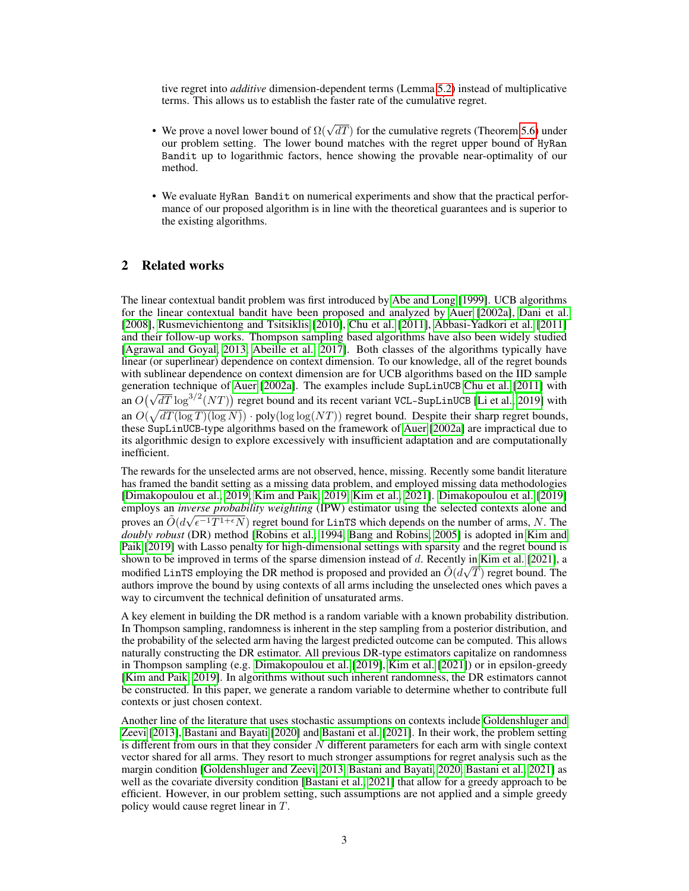tive regret into *additive* dimension-dependent terms (Lemma [5.2\)](#page-6-0) instead of multiplicative terms. This allows us to establish the faster rate of the cumulative regret.

- We prove a novel lower bound of  $\Omega(\sqrt{dT})$  for the cumulative regrets (Theorem [5.6\)](#page-7-1) under our problem setting. The lower bound matches with the regret upper bound of HyRan Bandit up to logarithmic factors, hence showing the provable near-optimality of our method.
- We evaluate HyRan Bandit on numerical experiments and show that the practical performance of our proposed algorithm is in line with the theoretical guarantees and is superior to the existing algorithms.

## 2 Related works

The linear contextual bandit problem was first introduced by [Abe and Long](#page-9-6) [\[1999\]](#page-9-6). UCB algorithms for the linear contextual bandit have been proposed and analyzed by [Auer](#page-9-0) [\[2002a\]](#page-9-0), [Dani et al.](#page-9-1) [\[2008\]](#page-9-1), [Rusmevichientong and Tsitsiklis](#page-10-2) [\[2010\]](#page-10-2), [Chu et al.](#page-9-2) [\[2011\]](#page-9-2), [Abbasi-Yadkori et al.](#page-9-3) [\[2011\]](#page-9-3) and their follow-up works. Thompson sampling based algorithms have also been widely studied [\[Agrawal and Goyal, 2013,](#page-9-4) [Abeille et al., 2017\]](#page-9-5). Both classes of the algorithms typically have linear (or superlinear) dependence on context dimension. To our knowledge, all of the regret bounds with sublinear dependence on context dimension are for UCB algorithms based on the IID sample generation technique of [Auer](#page-9-0) [\[2002a\]](#page-9-0). The examples include SupLinUCB [Chu et al.](#page-9-2) [\[2011\]](#page-9-2) with generation technique of Auer [2002a]. The examples include supplements Chu et al. [2011] with<br>an  $O(\sqrt{dT} \log^{3/2}(NT))$  regret bound and its recent variant VCL-SupLinUCB [\[Li et al., 2019\]](#page-10-5) with an  $O(\sqrt{dT(\log T)(\log N)}) \cdot \text{poly}(\log \log (NT))$  regret bound. Despite their sharp regret bounds, these SupLinUCB-type algorithms based on the framework of [Auer](#page-9-0) [\[2002a\]](#page-9-0) are impractical due to its algorithmic design to explore excessively with insufficient adaptation and are computationally inefficient.

The rewards for the unselected arms are not observed, hence, missing. Recently some bandit literature has framed the bandit setting as a missing data problem, and employed missing data methodologies [\[Dimakopoulou et al., 2019,](#page-9-7) [Kim and Paik, 2019,](#page-9-8) [Kim et al., 2021\]](#page-9-9). [Dimakopoulou et al.](#page-9-7) [\[2019\]](#page-9-7) employs an *inverse probability weighting* (IPW) estimator using the selected contexts alone and proves an  $\tilde{O}(d\sqrt{\epsilon^{-1}T^{1+\epsilon}N})$  regret bound for LinTS which depends on the number of arms, N. The *doubly robust* (DR) method [\[Robins et al., 1994,](#page-10-7) [Bang and Robins, 2005\]](#page-9-10) is adopted in [Kim and](#page-9-8) [Paik](#page-9-8) [\[2019\]](#page-9-8) with Lasso penalty for high-dimensional settings with sparsity and the regret bound is shown to be improved in terms of the sparse dimension instead of d. Recently in [Kim et al.](#page-9-9) [\[2021\]](#page-9-9), a modified LinTS employing the DR method is proposed and provided an  $\tilde{O}(d\sqrt{T})$  regret bound. The authors improve the bound by using contexts of all arms including the unselected ones which paves a way to circumvent the technical definition of unsaturated arms.

A key element in building the DR method is a random variable with a known probability distribution. In Thompson sampling, randomness is inherent in the step sampling from a posterior distribution, and the probability of the selected arm having the largest predicted outcome can be computed. This allows naturally constructing the DR estimator. All previous DR-type estimators capitalize on randomness in Thompson sampling (e.g. [Dimakopoulou et al.](#page-9-7) [\[2019\]](#page-9-7), [Kim et al.](#page-9-9) [\[2021\]](#page-9-9)) or in epsilon-greedy [\[Kim and Paik, 2019\]](#page-9-8). In algorithms without such inherent randomness, the DR estimators cannot be constructed. In this paper, we generate a random variable to determine whether to contribute full contexts or just chosen context.

Another line of the literature that uses stochastic assumptions on contexts include [Goldenshluger and](#page-9-11) [Zeevi](#page-9-11) [\[2013\]](#page-9-11), [Bastani and Bayati](#page-9-12) [\[2020\]](#page-9-12) and [Bastani et al.](#page-9-13) [\[2021\]](#page-9-13). In their work, the problem setting is different from ours in that they consider  $N$  different parameters for each arm with single context vector shared for all arms. They resort to much stronger assumptions for regret analysis such as the margin condition [\[Goldenshluger and Zeevi, 2013,](#page-9-11) [Bastani and Bayati, 2020,](#page-9-12) [Bastani et al., 2021\]](#page-9-13) as well as the covariate diversity condition [\[Bastani et al., 2021\]](#page-9-13) that allow for a greedy approach to be efficient. However, in our problem setting, such assumptions are not applied and a simple greedy policy would cause regret linear in T.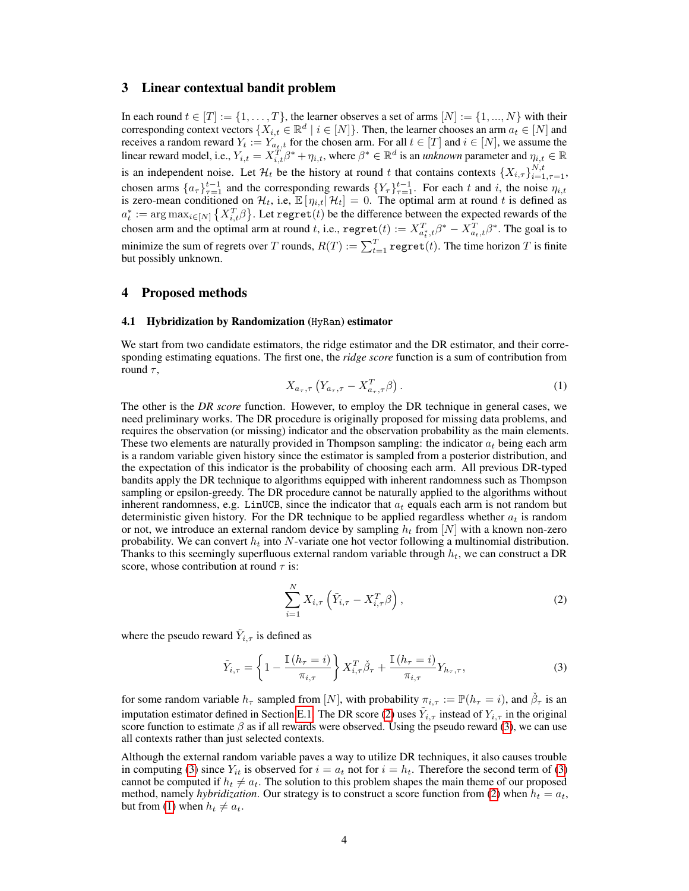### 3 Linear contextual bandit problem

In each round  $t \in [T] := \{1, \ldots, T\}$ , the learner observes a set of arms  $[N] := \{1, \ldots, N\}$  with their corresponding context vectors  $\{X_{i,t} \in \mathbb{R}^d \mid i \in [N]\}$ . Then, the learner chooses an arm  $a_t \in [N]$  and receives a random reward  $Y_t := Y_{a_t,t}$  for the chosen arm. For all  $t \in [T]$  and  $i \in [N]$ , we assume the linear reward model, i.e.,  $Y_{i,t} = X_{i,t}^T \beta^* + \eta_{i,t}$ , where  $\beta^* \in \mathbb{R}^d$  is an *unknown* parameter and  $\eta_{i,t} \in \mathbb{R}$ is an independent noise. Let  $\mathcal{H}_t$  be the history at round t that contains contexts  $\{X_{i,\tau}\}_{i=1,\tau=1}^{N,t}$ , chosen arms  $\{a_{\tau}\}_{\tau=1}^{t-1}$  and the corresponding rewards  $\{Y_{\tau}\}_{\tau=1}^{t-1}$ . For each t and i, the noise  $\eta_{i,t}$ is zero-mean conditioned on  $\mathcal{H}_t$ , i.e,  $\mathbb{E}[\eta_{i,t} | \mathcal{H}_t] = 0$ . The optimal arm at round t is defined as  $a_t^* := \arg\max_{i\in[N]}\left\{X_{i,t}^T\beta\right\}$ . Let regret $(t)$  be the difference between the expected rewards of the chosen arm and the optimal arm at round t, i.e.,  $\text{regret}(t) := X_{a_t^*,t}^T \beta^* - X_{a_t,t}^T \beta^*$ . The goal is to minimize the sum of regrets over T rounds,  $R(T) := \sum_{t=1}^{T} \mathtt{regret}(t)$ . The time horizon T is finite but possibly unknown.

#### 4 Proposed methods

#### 4.1 Hybridization by Randomization (HyRan) estimator

<span id="page-3-2"></span>We start from two candidate estimators, the ridge estimator and the DR estimator, and their corresponding estimating equations. The first one, the *ridge score* function is a sum of contribution from round  $\tau$ ,

$$
X_{a_{\tau},\tau} \left( Y_{a_{\tau},\tau} - X_{a_{\tau},\tau}^T \beta \right). \tag{1}
$$

The other is the *DR score* function. However, to employ the DR technique in general cases, we need preliminary works. The DR procedure is originally proposed for missing data problems, and requires the observation (or missing) indicator and the observation probability as the main elements. These two elements are naturally provided in Thompson sampling: the indicator  $a_t$  being each arm is a random variable given history since the estimator is sampled from a posterior distribution, and the expectation of this indicator is the probability of choosing each arm. All previous DR-typed bandits apply the DR technique to algorithms equipped with inherent randomness such as Thompson sampling or epsilon-greedy. The DR procedure cannot be naturally applied to the algorithms without inherent randomness, e.g. LinUCB, since the indicator that  $a_t$  equals each arm is not random but deterministic given history. For the DR technique to be applied regardless whether  $a_t$  is random or not, we introduce an external random device by sampling  $h_t$  from [N] with a known non-zero probability. We can convert  $h_t$  into N-variate one hot vector following a multinomial distribution. Thanks to this seemingly superfluous external random variable through  $h_t$ , we can construct a DR score, whose contribution at round  $\tau$  is:

<span id="page-3-1"></span><span id="page-3-0"></span>
$$
\sum_{i=1}^{N} X_{i,\tau} \left( \tilde{Y}_{i,\tau} - X_{i,\tau}^{T} \beta \right), \tag{2}
$$

where the pseudo reward  $\tilde{Y}_{i,\tau}$  is defined as

$$
\tilde{Y}_{i,\tau} = \left\{ 1 - \frac{\mathbb{I}\left(h_{\tau} = i\right)}{\pi_{i,\tau}} \right\} X_{i,\tau}^T \check{\beta}_{\tau} + \frac{\mathbb{I}\left(h_{\tau} = i\right)}{\pi_{i,\tau}} Y_{h_{\tau},\tau},\tag{3}
$$

for some random variable  $h_{\tau}$  sampled from [N], with probability  $\pi_{i,\tau} := \mathbb{P}(h_{\tau} = i)$ , and  $\check{\beta}_{\tau}$  is an imputation estimator defined in Section [E.1.](#page-16-0) The DR score [\(2\)](#page-3-0) uses  $\tilde{Y}_{i, \tau}$  instead of  $Y_{i, \tau}$  in the original score function to estimate  $\beta$  as if all rewards were observed. Using the pseudo reward [\(3\)](#page-3-1), we can use all contexts rather than just selected contexts.

Although the external random variable paves a way to utilize DR techniques, it also causes trouble in computing [\(3\)](#page-3-1) since  $Y_{it}$  is observed for  $i = a_t$  not for  $i = h_t$ . Therefore the second term of (3) cannot be computed if  $h_t \neq a_t$ . The solution to this problem shapes the main theme of our proposed method, namely *hybridization*. Our strategy is to construct a score function from [\(2\)](#page-3-0) when  $h_t = a_t$ , but from [\(1\)](#page-3-2) when  $h_t \neq a_t$ .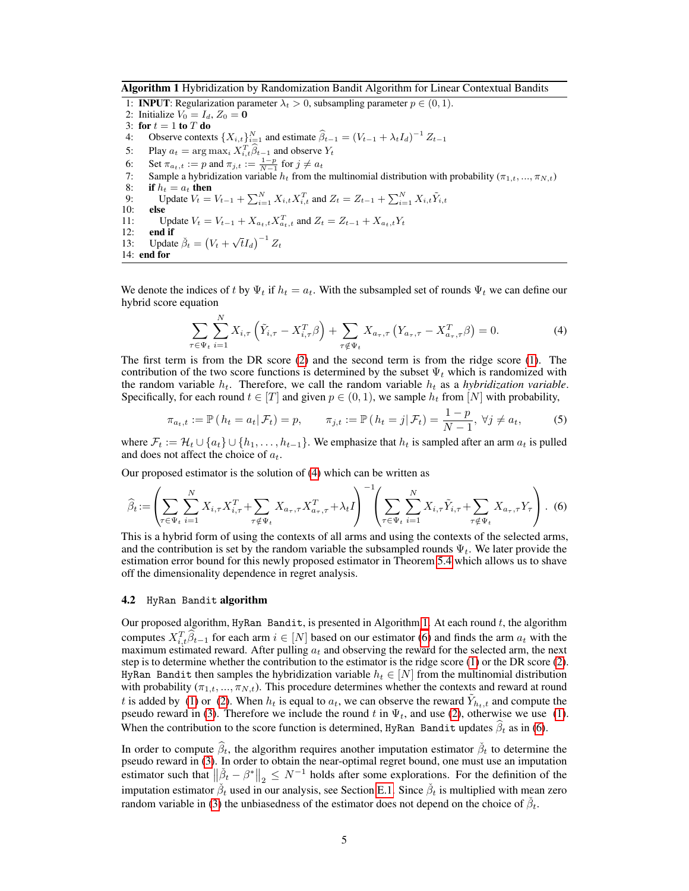Algorithm 1 Hybridization by Randomization Bandit Algorithm for Linear Contextual Bandits

<span id="page-4-1"></span>1: **INPUT**: Regularization parameter  $\lambda_t > 0$ , subsampling parameter  $p \in (0, 1)$ . 2: Initialize  $V_0 = I_d$ ,  $Z_0 = \mathbf{0}$ 3: for  $t = 1$  to  $T$  do<br>4: Observe contex 4: Observe contexts  $\{X_{i,t}\}_{i=1}^N$  and estimate  $\widehat{\beta}_{t-1} = (V_{t-1} + \lambda_t I_d)^{-1} Z_{t-1}$ 5: Play  $a_t = \arg \max_i X_{i,t}^T \hat{\beta}_{t-1}$  and observe  $Y_t$ 6: Set  $\pi_{a_t,t} := p$  and  $\pi_{j,t} := \frac{1-p}{N-1}$  for  $j \neq a_t$ 7: Sample a hybridization variable  $h_t$  from the multinomial distribution with probability ( $\pi_{1,t},...,\pi_{N,t}$ ) 8: **if**  $h_t = a_t$  **then**<br>9: **Update**  $V_t =$ 9: Update  $V_t = V_{t-1} + \sum_{i=1}^{N} X_{i,t} X_{i,t}^{T}$  and  $Z_t = Z_{t-1} + \sum_{i=1}^{N} X_{i,t} \tilde{Y}_{i,t}$ 10: else 11: Update  $V_t = V_{t-1} + X_{a_t,t} X_{a_t,t}^T$  and  $Z_t = Z_{t-1} + X_{a_t,t} Y_t$ 12: end if 13: Update  $\check{\beta}_t = (V_t + \sqrt{t}I_d)^{-1} Z_t$ 14: end for

We denote the indices of t by  $\Psi_t$  if  $h_t = a_t$ . With the subsampled set of rounds  $\Psi_t$  we can define our hybrid score equation

<span id="page-4-3"></span><span id="page-4-0"></span>
$$
\sum_{\tau \in \Psi_t} \sum_{i=1}^N X_{i,\tau} \left( \tilde{Y}_{i,\tau} - X_{i,\tau}^T \beta \right) + \sum_{\tau \notin \Psi_t} X_{a_{\tau},\tau} \left( Y_{a_{\tau},\tau} - X_{a_{\tau},\tau}^T \beta \right) = 0. \tag{4}
$$

The first term is from the DR score [\(2\)](#page-3-0) and the second term is from the ridge score [\(1\)](#page-3-2). The contribution of the two score functions is determined by the subset  $\Psi_t$  which is randomized with the random variable  $h_t$ . Therefore, we call the random variable  $h_t$  as a *hybridization variable*. Specifically, for each round  $t \in [T]$  and given  $p \in (0, 1)$ , we sample  $h_t$  from  $[N]$  with probability,

<span id="page-4-2"></span>
$$
\pi_{a_t,t} := \mathbb{P}\left(h_t = a_t | \mathcal{F}_t\right) = p, \qquad \pi_{j,t} := \mathbb{P}\left(h_t = j | \mathcal{F}_t\right) = \frac{1-p}{N-1}, \ \forall j \neq a_t,\tag{5}
$$

where  $\mathcal{F}_t := \mathcal{H}_t \cup \{a_t\} \cup \{h_1, \ldots, h_{t-1}\}.$  We emphasize that  $h_t$  is sampled after an arm  $a_t$  is pulled and does not affect the choice of  $a_t$ .

Our proposed estimator is the solution of [\(4\)](#page-4-0) which can be written as

$$
\widehat{\beta}_t := \left( \sum_{\tau \in \Psi_t} \sum_{i=1}^N X_{i,\tau} X_{i,\tau}^T + \sum_{\tau \notin \Psi_t} X_{a_{\tau},\tau} X_{a_{\tau},\tau}^T + \lambda_t I \right)^{-1} \left( \sum_{\tau \in \Psi_t} \sum_{i=1}^N X_{i,\tau} \tilde{Y}_{i,\tau} + \sum_{\tau \notin \Psi_t} X_{a_{\tau},\tau} Y_{\tau} \right).
$$
(6)

This is a hybrid form of using the contexts of all arms and using the contexts of the selected arms, and the contribution is set by the random variable the subsampled rounds  $\Psi_t$ . We later provide the estimation error bound for this newly proposed estimator in Theorem [5.4](#page-7-0) which allows us to shave off the dimensionality dependence in regret analysis.

#### 4.2 HyRan Bandit algorithm

Our proposed algorithm, HyRan Bandit, is presented in Algorithm [1.](#page-4-1) At each round  $t$ , the algorithm computes  $X_{i,t}^T \hat{\beta}_{t-1}$  for each arm  $i \in [N]$  based on our estimator [\(6\)](#page-4-2) and finds the arm  $a_t$  with the maximum estimated reward. After pulling  $a_t$  and observing the reward for the selected arm, the next step is to determine whether the contribution to the estimator is the ridge score [\(1\)](#page-3-2) or the DR score [\(2\)](#page-3-0). HyRan Bandit then samples the hybridization variable  $h_t \in [N]$  from the multinomial distribution with probability  $(\pi_{1,t}, ..., \pi_{N,t})$ . This procedure determines whether the contexts and reward at round t is added by [\(1\)](#page-3-2) or [\(2\)](#page-3-0). When  $h_t$  is equal to  $a_t$ , we can observe the reward  $\tilde{Y}_{h_t,t}$  and compute the pseudo reward in [\(3\)](#page-3-1). Therefore we include the round t in  $\Psi_t$ , and use [\(2\)](#page-3-0), otherwise we use [\(1\)](#page-3-2). When the contribution to the score function is determined, HyRan Bandit updates  $\beta_t$  as in [\(6\)](#page-4-2).

In order to compute  $\hat{\beta}_t$ , the algorithm requires another imputation estimator  $\check{\beta}_t$  to determine the pseudo reward in [\(3\)](#page-3-1). In order to obtain the near-optimal regret bound, one must use an imputation estimator such that  $\|\check{\beta}_t - \beta^*\|_2 \leq N^{-1}$  holds after some explorations. For the definition of the imputation estimator  $\beta_t$  used in our analysis, see Section [E.1.](#page-16-0) Since  $\beta_t$  is multiplied with mean zero random variable in [\(3\)](#page-3-1) the unbiasedness of the estimator does not depend on the choice of  $\check{\beta}_t$ .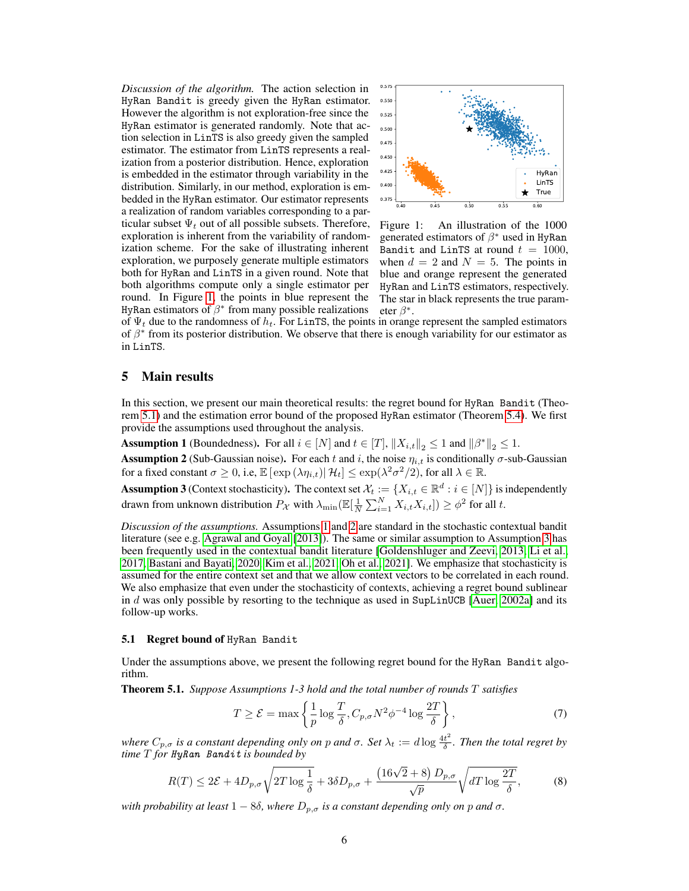*Discussion of the algorithm.* The action selection in HyRan Bandit is greedy given the HyRan estimator. However the algorithm is not exploration-free since the HyRan estimator is generated randomly. Note that action selection in LinTS is also greedy given the sampled estimator. The estimator from LinTS represents a realization from a posterior distribution. Hence, exploration is embedded in the estimator through variability in the distribution. Similarly, in our method, exploration is embedded in the HyRan estimator. Our estimator represents a realization of random variables corresponding to a particular subset  $\Psi_t$  out of all possible subsets. Therefore, exploration is inherent from the variability of randomization scheme. For the sake of illustrating inherent exploration, we purposely generate multiple estimators both for HyRan and LinTS in a given round. Note that both algorithms compute only a single estimator per round. In Figure [1,](#page-5-1) the points in blue represent the HyRan estimators of  $\beta^*$  from many possible realizations



<span id="page-5-1"></span>Figure 1: An illustration of the 1000 generated estimators of  $\beta^*$  used in HyRan Bandit and LinTS at round  $t = 1000$ , when  $d = 2$  and  $N = 5$ . The points in blue and orange represent the generated HyRan and LinTS estimators, respectively. The star in black represents the true parameter  $\beta^*$ .

of  $\Psi_t$  due to the randomness of  $h_t$ . For LinTS, the points in orange represent the sampled estimators of  $\beta^*$  from its posterior distribution. We observe that there is enough variability for our estimator as in LinTS.

## 5 Main results

In this section, we present our main theoretical results: the regret bound for HyRan Bandit (Theorem [5.1\)](#page-5-0) and the estimation error bound of the proposed HyRan estimator (Theorem [5.4\)](#page-7-0). We first provide the assumptions used throughout the analysis.

<span id="page-5-3"></span><span id="page-5-2"></span>**Assumption 1** (Boundedness). For all  $i \in [N]$  and  $t \in [T]$ ,  $||X_{i,t}||_2 \leq 1$  and  $||\beta^*||_2 \leq 1$ . **Assumption 2** (Sub-Gaussian noise). For each t and i, the noise  $\eta_{i,t}$  is conditionally  $\sigma$ -sub-Gaussian for a fixed constant  $\sigma \ge 0$ , i.e,  $\mathbb{E} \left[ \exp \left( \lambda \eta_{i,t} \right) \middle| \mathcal{H}_t \right] \le \exp \left( \lambda^2 \sigma^2 / 2 \right)$ , for all  $\lambda \in \mathbb{R}$ .

<span id="page-5-4"></span>**Assumption 3** (Context stochasticity). The context set  $\mathcal{X}_t := \{X_{i,t} \in \mathbb{R}^d : i \in [N]\}$  is independently drawn from unknown distribution  $P_{\mathcal{X}}$  with  $\lambda_{\min}(\mathbb{E}[\frac{1}{N}\sum_{i=1}^N X_{i,t}X_{i,t}]) \geq \phi^2$  for all t.

*Discussion of the assumptions.* Assumptions [1](#page-5-2) and [2](#page-5-3) are standard in the stochastic contextual bandit literature (see e.g. [Agrawal and Goyal](#page-9-4) [\[2013\]](#page-9-4)). The same or similar assumption to Assumption [3](#page-5-4) has been frequently used in the contextual bandit literature [\[Goldenshluger and Zeevi, 2013,](#page-9-11) [Li et al.,](#page-10-6) [2017,](#page-10-6) [Bastani and Bayati, 2020,](#page-9-12) [Kim et al., 2021,](#page-9-9) [Oh et al., 2021\]](#page-10-8). We emphasize that stochasticity is assumed for the entire context set and that we allow context vectors to be correlated in each round. We also emphasize that even under the stochasticity of contexts, achieving a regret bound sublinear in  $d$  was only possible by resorting to the technique as used in SupLinUCB [\[Auer, 2002a\]](#page-9-0) and its follow-up works.

## 5.1 Regret bound of HyRan Bandit

Under the assumptions above, we present the following regret bound for the HyRan Bandit algorithm.

Theorem 5.1. *Suppose Assumptions 1-3 hold and the total number of rounds* T *satisfies*

<span id="page-5-5"></span><span id="page-5-0"></span>
$$
T \ge \mathcal{E} = \max\left\{\frac{1}{p}\log\frac{T}{\delta}, C_{p,\sigma}N^2\phi^{-4}\log\frac{2T}{\delta}\right\},\tag{7}
$$

*where*  $C_{p,\sigma}$  *is a constant depending only on p and*  $\sigma$ *. Set*  $\lambda_t := d \log \frac{4t^2}{\delta}$ δ *. Then the total regret by time* T *for* HyRan Bandit *is bounded by*

$$
R(T) \le 2\mathcal{E} + 4D_{p,\sigma}\sqrt{2T\log\frac{1}{\delta}} + 3\delta D_{p,\sigma} + \frac{(16\sqrt{2} + 8)\ D_{p,\sigma}}{\sqrt{p}}\sqrt{dT\log\frac{2T}{\delta}},\tag{8}
$$

*with probability at least*  $1 - 8\delta$ *, where*  $D_{p,\sigma}$  *is a constant depending only on p and*  $\sigma$ *.*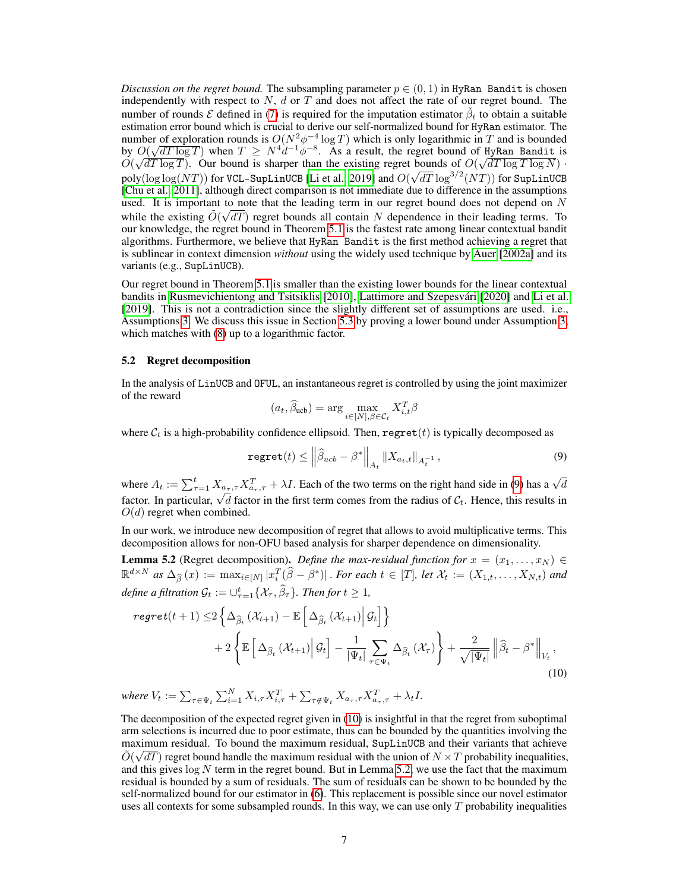*Discussion on the regret bound.* The subsampling parameter  $p \in (0, 1)$  in HyRan Bandit is chosen independently with respect to  $N$ ,  $d$  or  $T$  and does not affect the rate of our regret bound. The number of rounds  $\mathcal E$  defined in [\(7\)](#page-5-5) is required for the imputation estimator  $\check{\beta}_t$  to obtain a suitable estimation error bound which is crucial to derive our self-normalized bound for HyRan estimator. The number of exploration rounds is  $O(N^2\phi^{-4}\log T)$  which is only logarithmic in T and is bounded number of exploration rounds is  $O(N^2\varphi^{-1} \log T)$  which is only logarithmic in T and is bounded<br>by  $O(\sqrt{dT \log T})$  when  $T \ge N^4 d^{-1} \varphi^{-8}$ . As a result, the regret bound of HyRan Bandit is by  $O(\sqrt{d}T \log T)$  when  $T \geq N^2 d^{-2} \varphi$ . As a result, the regret bound of Hykan Bandit is  $O(\sqrt{d}T \log T)$ . Our bound is sharper than the existing regret bounds of  $O(\sqrt{d}T \log T \log N)$ . poly $(\log\log (NT))$  for VCL-SupLinUCB [\[Li et al., 2019\]](#page-10-5) and  $O(\sqrt{dT}\log^{3/2}(NT))$  for SupLinUCB [\[Chu et al., 2011\]](#page-9-2), although direct comparison is not immediate due to difference in the assumptions used. It is important to note that the leading term in our regret bound does not depend on N while the existing  $\tilde{O}(\sqrt{dT})$  regret bounds all contain N dependence in their leading terms. To our knowledge, the regret bound in Theorem [5.1](#page-5-0) is the fastest rate among linear contextual bandit algorithms. Furthermore, we believe that HyRan Bandit is the first method achieving a regret that is sublinear in context dimension *without* using the widely used technique by [Auer](#page-9-0) [\[2002a\]](#page-9-0) and its variants (e.g., SupLinUCB).

Our regret bound in Theorem [5.1](#page-5-0) is smaller than the existing lower bounds for the linear contextual bandits in [Rusmevichientong and Tsitsiklis](#page-10-2) [\[2010\]](#page-10-2), [Lattimore and Szepesvári](#page-10-9) [\[2020\]](#page-10-9) and [Li et al.](#page-10-5) [\[2019\]](#page-10-5). This is not a contradiction since the slightly different set of assumptions are used. i.e., Assumptions [3.](#page-5-4) We discuss this issue in Section [5.3](#page-7-2) by proving a lower bound under Assumption [3,](#page-5-4) which matches with  $(8)$  up to a logarithmic factor.

#### 5.2 Regret decomposition

In the analysis of LinUCB and OFUL, an instantaneous regret is controlled by using the joint maximizer of the reward

<span id="page-6-1"></span>
$$
(a_t, \widehat{\beta}_{\text{ucb}}) = \arg \max_{i \in [N], \beta \in \mathcal{C}_t} X_{i,t}^T \beta
$$

where  $C_t$  is a high-probability confidence ellipsoid. Then, regret(t) is typically decomposed as

<span id="page-6-2"></span>
$$
\texttt{regret}(t) \le \left\| \widehat{\beta}_{ucb} - \beta^* \right\|_{A_t} \left\| X_{a_t, t} \right\|_{A_t^{-1}},\tag{9}
$$

where  $A_t := \sum_{\tau=1}^t X_{a_\tau,\tau} X_{a_\tau,\tau}^T + \lambda I$ . Each of the two terms on the right hand side in [\(9\)](#page-6-1) has a  $\sqrt{d}$ where  $A_t := \sum_{\tau=1}^{\infty} A_{a_{\tau},\tau} A_{a_{\tau},\tau}$  and  $A_t$ . Each of the two terms of the right hand side in (5) has a  $\sqrt{a}$  factor. In particular,  $\sqrt{d}$  factor in the first term comes from the radius of  $C_t$ . Hence, this r  $O(d)$  regret when combined.

In our work, we introduce new decomposition of regret that allows to avoid multiplicative terms. This decomposition allows for non-OFU based analysis for sharper dependence on dimensionality.

<span id="page-6-0"></span>**Lemma 5.2** (Regret decomposition). *Define the max-residual function for*  $x = (x_1, \ldots, x_N) \in$  $\mathbb{R}^{d\times N}$  as  $\Delta_{\widehat{\beta}}(x) := \max_{i\in[N]} |x_i^T(\widehat{\beta}-\beta^*)|$ . *For each*  $t \in[T]$ , *let*  $\mathcal{X}_t := (X_{1,t}, \ldots, X_{N,t})$  and *define a filtration*  $\mathcal{G}_t := \cup_{\tau=1}^t \{ \mathcal{X}_\tau, \hat{\beta}_\tau \}$ *. Then for*  $t \geq 1$ *,* 

$$
regret(t+1) \leq 2 \left\{ \Delta_{\widehat{\beta}_t} \left( \mathcal{X}_{t+1} \right) - \mathbb{E} \left[ \Delta_{\widehat{\beta}_t} \left( \mathcal{X}_{t+1} \right) \middle| \mathcal{G}_t \right] \right\} + 2 \left\{ \mathbb{E} \left[ \Delta_{\widehat{\beta}_t} \left( \mathcal{X}_{t+1} \right) \middle| \mathcal{G}_t \right] - \frac{1}{|\Psi_t|} \sum_{\tau \in \Psi_t} \Delta_{\widehat{\beta}_t} \left( \mathcal{X}_{\tau} \right) \right\} + \frac{2}{\sqrt{|\Psi_t|}} \left\| \widehat{\beta}_t - \beta^* \right\|_{V_t},
$$
\n(10)

where  $V_t := \sum_{\tau \in \Psi_t} \sum_{i=1}^N X_{i,\tau} X_{i,\tau}^T + \sum_{\tau \notin \Psi_t} X_{a_\tau,\tau} X_{a_\tau,\tau}^T + \lambda_t I$ .

The decomposition of the expected regret given in [\(10\)](#page-6-2) is insightful in that the regret from suboptimal arm selections is incurred due to poor estimate, thus can be bounded by the quantities involving the maximum residual. To bound the maximum residual, SupLinUCB and their variants that achieve →  $\tilde{O}(\sqrt{dT})$  regret bound handle the maximum residual with the union of  $N \times T$  probability inequalities, and this gives  $\log N$  term in the regret bound. But in Lemma [5.2,](#page-6-0) we use the fact that the maximum residual is bounded by a sum of residuals. The sum of residuals can be shown to be bounded by the self-normalized bound for our estimator in [\(6\)](#page-4-2). This replacement is possible since our novel estimator uses all contexts for some subsampled rounds. In this way, we can use only  $T$  probability inequalities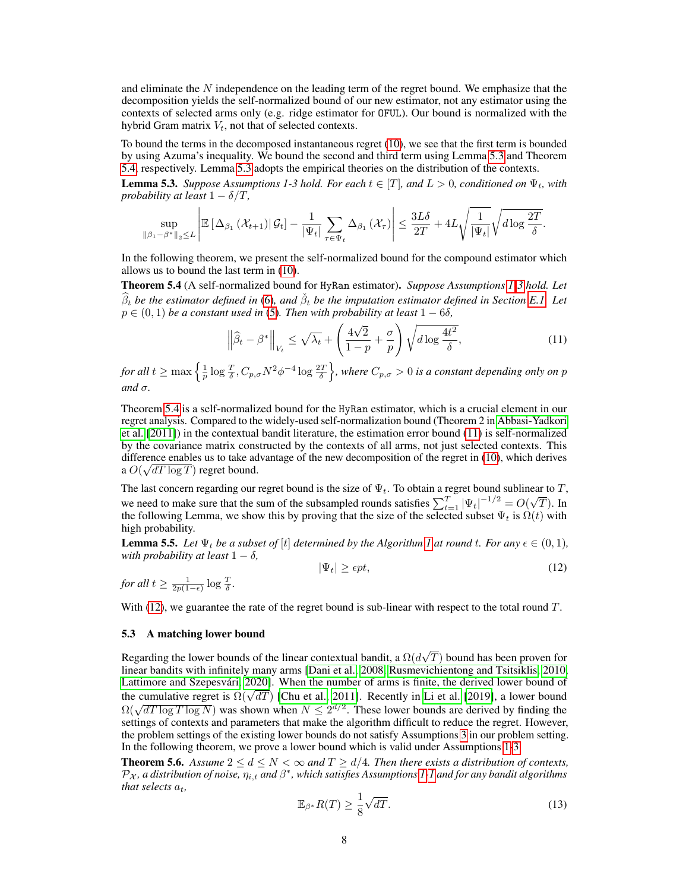and eliminate the  $N$  independence on the leading term of the regret bound. We emphasize that the decomposition yields the self-normalized bound of our new estimator, not any estimator using the contexts of selected arms only (e.g. ridge estimator for OFUL). Our bound is normalized with the hybrid Gram matrix  $V_t$ , not that of selected contexts.

To bound the terms in the decomposed instantaneous regret [\(10\)](#page-6-2), we see that the first term is bounded by using Azuma's inequality. We bound the second and third term using Lemma [5.3](#page-7-3) and Theorem [5.4,](#page-7-0) respectively. Lemma [5.3](#page-7-3) adopts the empirical theories on the distribution of the contexts.

<span id="page-7-3"></span>**Lemma 5.3.** *Suppose Assumptions 1-3 hold. For each*  $t \in [T]$ *, and*  $L > 0$ *, conditioned on*  $\Psi_t$ *, with probability at least*  $1 - \delta/T$ ,

$$
\sup_{\|\beta_1-\beta^*\|_2\leq L}\left|\mathbb{E}\left[\Delta_{\beta_1}\left(\mathcal{X}_{t+1}\right)\big|\mathcal{G}_t\right]-\frac{1}{|\Psi_t|}\sum_{\tau\in\Psi_t}\Delta_{\beta_1}\left(\mathcal{X}_{\tau}\right)\right|\leq \frac{3L\delta}{2T}+4L\sqrt{\frac{1}{|\Psi_t|}}\sqrt{d\log\frac{2T}{\delta}}.
$$

In the following theorem, we present the self-normalized bound for the compound estimator which allows us to bound the last term in [\(10\)](#page-6-2).

<span id="page-7-0"></span>Theorem 5.4 (A self-normalized bound for HyRan estimator). *Suppose Assumptions [1-](#page-5-2)[3](#page-5-4) hold. Let*  $\widehat{\beta}_t$  *be the estimator defined in* [\(6\)](#page-4-2), and  $\check{\beta}_t$  *be the imputation estimator defined in Section [E.1.](#page-16-0) Let*  $p \in (0, 1)$  *be a constant used in* [\(5\)](#page-4-3)*. Then with probability at least*  $1 - 6\delta$ *,* 

<span id="page-7-4"></span>
$$
\left\|\widehat{\beta}_t - \beta^*\right\|_{V_t} \le \sqrt{\lambda_t} + \left(\frac{4\sqrt{2}}{1-p} + \frac{\sigma}{p}\right) \sqrt{d \log \frac{4t^2}{\delta}},\tag{11}
$$

for all  $t \ge \max\left\{\frac{1}{p}\log\frac{T}{\delta},C_{p,\sigma}N^2\phi^{-4}\log\frac{2T}{\delta}\right\}$ , where  $C_{p,\sigma}>0$  is a constant depending only on p  $and \sigma$ .

Theorem [5.4](#page-7-0) is a self-normalized bound for the HyRan estimator, which is a crucial element in our regret analysis. Compared to the widely-used self-normalization bound (Theorem 2 in [Abbasi-Yadkori](#page-9-3) [et al.](#page-9-3) [\[2011\]](#page-9-3)) in the contextual bandit literature, the estimation error bound [\(11\)](#page-7-4) is self-normalized by the covariance matrix constructed by the contexts of all arms, not just selected contexts. This difference enables us to take advantage of the new decomposition of the regret in [\(10\)](#page-6-2), which derives a  $O(\sqrt{dT \log T})$  regret bound.

The last concern regarding our regret bound is the size of  $\Psi_t$ . To obtain a regret bound sublinear to T, we need to make sure that the sum of the subsampled rounds satisfies  $\sum_{t=1}^{T} |\Psi_t|^{-1/2} = O(\sqrt{\pi})$  $T$ ). In the following Lemma, we show this by proving that the size of the selected subset  $\Psi_t$  is  $\Omega(t)$  with high probability.

<span id="page-7-6"></span>**Lemma 5.5.** Let  $\Psi_t$  be a subset of [t] determined by the Algorithm [1](#page-4-1) at round t. For any  $\epsilon \in (0,1)$ , *with probability at least*  $1 - \delta$ *,* 

<span id="page-7-5"></span>
$$
|\Psi_t| \ge \epsilon pt,\tag{12}
$$

*for all*  $t \ge \frac{1}{2p(1-\epsilon)} \log \frac{T}{\delta}$ .

With [\(12\)](#page-7-5), we guarantee the rate of the regret bound is sub-linear with respect to the total round  $T$ .

#### <span id="page-7-2"></span>5.3 A matching lower bound

Regarding the lower bounds of the linear contextual bandit, a  $\Omega(d)$ √ T) bound has been proven for linear bandits with infinitely many arms [\[Dani et al., 2008,](#page-9-1) [Rusmevichientong and Tsitsiklis, 2010,](#page-10-2) [Lattimore and Szepesvári, 2020\]](#page-10-9). When the number of arms is finite, the derived lower bound of Latumore and Szepesvari, 2020]. When the number of arms is linite, the derived lower bound of the cumulative regret is  $\Omega(\sqrt{dT})$  [\[Chu et al., 2011\]](#page-9-2). Recently in [Li et al.](#page-10-5) [\[2019\]](#page-10-5), a lower bound the cumulative regiet is  $\Omega(\sqrt{d}T \log N)$  was shown when  $N \leq 2^{d/2}$ . These lower bounds are derived by finding the settings of contexts and parameters that make the algorithm difficult to reduce the regret. However, the problem settings of the existing lower bounds do not satisfy Assumptions [3](#page-5-4) in our problem setting. In the following theorem, we prove a lower bound which is valid under Assumptions [1](#page-5-2)[-3.](#page-5-4)

<span id="page-7-1"></span>**Theorem 5.6.** Assume  $2 \leq d \leq N < \infty$  and  $T \geq d/4$ . Then there exists a distribution of contexts,  $\mathcal{P}_\mathcal{X}$  , a distribution of noise,  $\eta_{i,t}$  and  $\beta^*$ , which satisfies Assumptions [1-1](#page-5-2) and for any bandit algorithms *that selects*  $a_t$ *,* 

$$
\mathbb{E}_{\beta^*} R(T) \ge \frac{1}{8} \sqrt{dT}.
$$
 (13)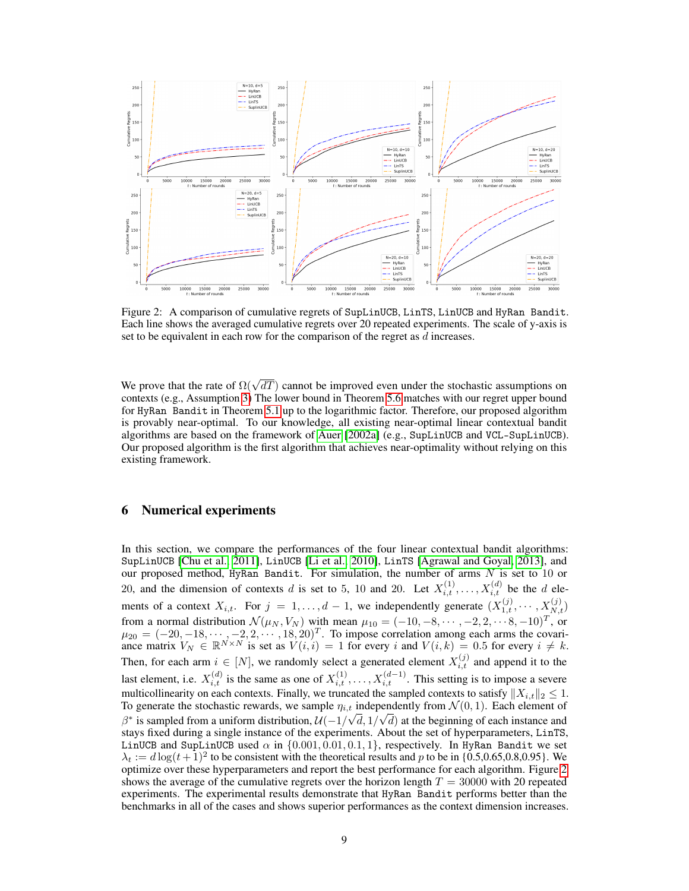

<span id="page-8-0"></span>Figure 2: A comparison of cumulative regrets of SupLinUCB, LinTS, LinUCB and HyRan Bandit. Each line shows the averaged cumulative regrets over 20 repeated experiments. The scale of y-axis is set to be equivalent in each row for the comparison of the regret as d increases.

We prove that the rate of  $\Omega(\sqrt{dT})$  cannot be improved even under the stochastic assumptions on contexts (e.g., Assumption [3\)](#page-5-4) The lower bound in Theorem [5.6](#page-7-1) matches with our regret upper bound for HyRan Bandit in Theorem [5.1](#page-5-0) up to the logarithmic factor. Therefore, our proposed algorithm is provably near-optimal. To our knowledge, all existing near-optimal linear contextual bandit algorithms are based on the framework of [Auer](#page-9-0) [\[2002a\]](#page-9-0) (e.g., SupLinUCB and VCL-SupLinUCB). Our proposed algorithm is the first algorithm that achieves near-optimality without relying on this existing framework.

## 6 Numerical experiments

In this section, we compare the performances of the four linear contextual bandit algorithms: SupLinUCB [\[Chu et al., 2011\]](#page-9-2), LinUCB [\[Li et al., 2010\]](#page-10-1), LinTS [\[Agrawal and Goyal, 2013\]](#page-9-4), and our proposed method, HyRan Bandit. For simulation, the number of arms  $N$  is set to 10 or 20, and the dimension of contexts d is set to 5, 10 and 20. Let  $X_{i,t}^{(1)}, \ldots, X_{i,t}^{(d)}$  be the d elements of a context  $X_{i,t}$ . For  $j = 1, ..., d - 1$ , we independently generate  $(X_{1,t}^{(j)}, ..., X_{N,t}^{(j)})$ from a normal distribution  $\mathcal{N}(\mu_N, V_N)$  with mean  $\mu_{10} = (-10, -8, \dots, -2, 2, \dots, 8, -10)^T$ , or  $\mu_{20} = (-20, -18, \dots, -2, 2, \dots, 18, 20)^T$ . To impose correlation among each arms the covariance matrix  $V_N \in \mathbb{R}^{N \times N}$  is set as  $V(i, i) = 1$  for every i and  $V(i, k) = 0.5$  for every  $i \neq k$ . Then, for each arm  $i \in [N]$ , we randomly select a generated element  $X_{i,t}^{(j)}$  and append it to the last element, i.e.  $X_{i,t}^{(d)}$  is the same as one of  $X_{i,t}^{(1)}, \ldots, X_{i,t}^{(d-1)}$ . This setting is to impose a severe multicollinearity on each contexts. Finally, we truncated the sampled contexts to satisfy  $||X_{i,t}||_2 \leq 1$ . To generate the stochastic rewards, we sample  $\eta_{i,t}$  independently from  $\mathcal{N}(0, 1)$ . Each element of  $\beta^*$  is sampled from a uniform distribution,  $\mathcal{U}(-1/\sqrt{d}, 1/\sqrt{d})$  at the beginning of each instance and stays fixed during a single instance of the experiments. About the set of hyperparameters, LinTS, LinUCB and SupLinUCB used  $\alpha$  in  $\{0.001, 0.01, 0.1, 1\}$ , respectively. In HyRan Bandit we set  $\lambda_t := d \log(t+1)^2$  to be consistent with the theoretical results and p to be in {0.5,0.65,0.8,0.95}. We optimize over these hyperparameters and report the best performance for each algorithm. Figure [2](#page-8-0) shows the average of the cumulative regrets over the horizon length  $T = 30000$  with 20 repeated experiments. The experimental results demonstrate that HyRan Bandit performs better than the benchmarks in all of the cases and shows superior performances as the context dimension increases.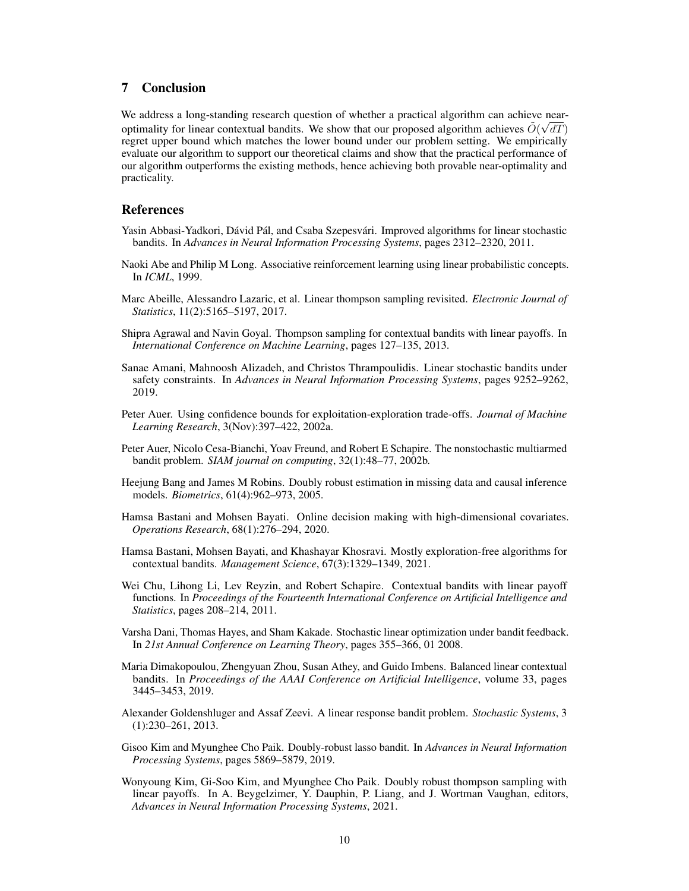## 7 Conclusion

We address a long-standing research question of whether a practical algorithm can achieve nearoptimality for linear contextual bandits. We show that our proposed algorithm achieves  $\tilde{O}(\sqrt{dT})$ regret upper bound which matches the lower bound under our problem setting. We empirically evaluate our algorithm to support our theoretical claims and show that the practical performance of our algorithm outperforms the existing methods, hence achieving both provable near-optimality and practicality.

## References

- <span id="page-9-3"></span>Yasin Abbasi-Yadkori, Dávid Pál, and Csaba Szepesvári. Improved algorithms for linear stochastic bandits. In *Advances in Neural Information Processing Systems*, pages 2312–2320, 2011.
- <span id="page-9-6"></span>Naoki Abe and Philip M Long. Associative reinforcement learning using linear probabilistic concepts. In *ICML*, 1999.
- <span id="page-9-5"></span>Marc Abeille, Alessandro Lazaric, et al. Linear thompson sampling revisited. *Electronic Journal of Statistics*, 11(2):5165–5197, 2017.
- <span id="page-9-4"></span>Shipra Agrawal and Navin Goyal. Thompson sampling for contextual bandits with linear payoffs. In *International Conference on Machine Learning*, pages 127–135, 2013.
- <span id="page-9-15"></span>Sanae Amani, Mahnoosh Alizadeh, and Christos Thrampoulidis. Linear stochastic bandits under safety constraints. In *Advances in Neural Information Processing Systems*, pages 9252–9262, 2019.
- <span id="page-9-0"></span>Peter Auer. Using confidence bounds for exploitation-exploration trade-offs. *Journal of Machine Learning Research*, 3(Nov):397–422, 2002a.
- <span id="page-9-14"></span>Peter Auer, Nicolo Cesa-Bianchi, Yoav Freund, and Robert E Schapire. The nonstochastic multiarmed bandit problem. *SIAM journal on computing*, 32(1):48–77, 2002b.
- <span id="page-9-10"></span>Heejung Bang and James M Robins. Doubly robust estimation in missing data and causal inference models. *Biometrics*, 61(4):962–973, 2005.
- <span id="page-9-12"></span>Hamsa Bastani and Mohsen Bayati. Online decision making with high-dimensional covariates. *Operations Research*, 68(1):276–294, 2020.
- <span id="page-9-13"></span>Hamsa Bastani, Mohsen Bayati, and Khashayar Khosravi. Mostly exploration-free algorithms for contextual bandits. *Management Science*, 67(3):1329–1349, 2021.
- <span id="page-9-2"></span>Wei Chu, Lihong Li, Lev Reyzin, and Robert Schapire. Contextual bandits with linear payoff functions. In *Proceedings of the Fourteenth International Conference on Artificial Intelligence and Statistics*, pages 208–214, 2011.
- <span id="page-9-1"></span>Varsha Dani, Thomas Hayes, and Sham Kakade. Stochastic linear optimization under bandit feedback. In *21st Annual Conference on Learning Theory*, pages 355–366, 01 2008.
- <span id="page-9-7"></span>Maria Dimakopoulou, Zhengyuan Zhou, Susan Athey, and Guido Imbens. Balanced linear contextual bandits. In *Proceedings of the AAAI Conference on Artificial Intelligence*, volume 33, pages 3445–3453, 2019.
- <span id="page-9-11"></span>Alexander Goldenshluger and Assaf Zeevi. A linear response bandit problem. *Stochastic Systems*, 3 (1):230–261, 2013.
- <span id="page-9-8"></span>Gisoo Kim and Myunghee Cho Paik. Doubly-robust lasso bandit. In *Advances in Neural Information Processing Systems*, pages 5869–5879, 2019.
- <span id="page-9-9"></span>Wonyoung Kim, Gi-Soo Kim, and Myunghee Cho Paik. Doubly robust thompson sampling with linear payoffs. In A. Beygelzimer, Y. Dauphin, P. Liang, and J. Wortman Vaughan, editors, *Advances in Neural Information Processing Systems*, 2021.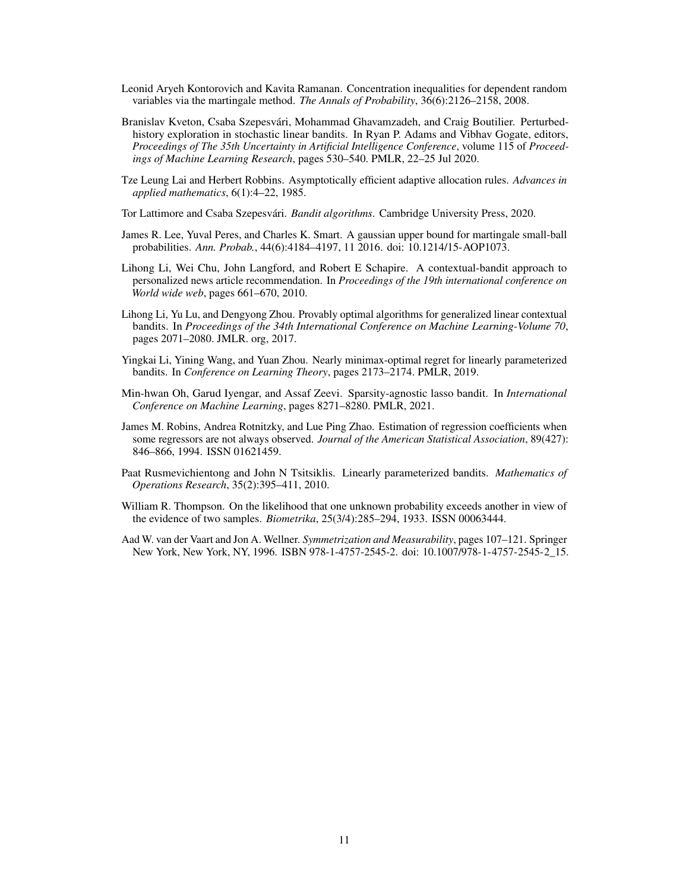- <span id="page-10-12"></span>Leonid Aryeh Kontorovich and Kavita Ramanan. Concentration inequalities for dependent random variables via the martingale method. *The Annals of Probability*, 36(6):2126–2158, 2008.
- <span id="page-10-4"></span>Branislav Kveton, Csaba Szepesvári, Mohammad Ghavamzadeh, and Craig Boutilier. Perturbedhistory exploration in stochastic linear bandits. In Ryan P. Adams and Vibhav Gogate, editors, *Proceedings of The 35th Uncertainty in Artificial Intelligence Conference*, volume 115 of *Proceedings of Machine Learning Research*, pages 530–540. PMLR, 22–25 Jul 2020.
- <span id="page-10-0"></span>Tze Leung Lai and Herbert Robbins. Asymptotically efficient adaptive allocation rules. *Advances in applied mathematics*, 6(1):4–22, 1985.

<span id="page-10-9"></span>Tor Lattimore and Csaba Szepesvári. *Bandit algorithms*. Cambridge University Press, 2020.

- <span id="page-10-10"></span>James R. Lee, Yuval Peres, and Charles K. Smart. A gaussian upper bound for martingale small-ball probabilities. *Ann. Probab.*, 44(6):4184–4197, 11 2016. doi: 10.1214/15-AOP1073.
- <span id="page-10-1"></span>Lihong Li, Wei Chu, John Langford, and Robert E Schapire. A contextual-bandit approach to personalized news article recommendation. In *Proceedings of the 19th international conference on World wide web*, pages 661–670, 2010.
- <span id="page-10-6"></span>Lihong Li, Yu Lu, and Dengyong Zhou. Provably optimal algorithms for generalized linear contextual bandits. In *Proceedings of the 34th International Conference on Machine Learning-Volume 70*, pages 2071–2080. JMLR. org, 2017.
- <span id="page-10-5"></span>Yingkai Li, Yining Wang, and Yuan Zhou. Nearly minimax-optimal regret for linearly parameterized bandits. In *Conference on Learning Theory*, pages 2173–2174. PMLR, 2019.
- <span id="page-10-8"></span>Min-hwan Oh, Garud Iyengar, and Assaf Zeevi. Sparsity-agnostic lasso bandit. In *International Conference on Machine Learning*, pages 8271–8280. PMLR, 2021.
- <span id="page-10-7"></span>James M. Robins, Andrea Rotnitzky, and Lue Ping Zhao. Estimation of regression coefficients when some regressors are not always observed. *Journal of the American Statistical Association*, 89(427): 846–866, 1994. ISSN 01621459.
- <span id="page-10-2"></span>Paat Rusmevichientong and John N Tsitsiklis. Linearly parameterized bandits. *Mathematics of Operations Research*, 35(2):395–411, 2010.
- <span id="page-10-3"></span>William R. Thompson. On the likelihood that one unknown probability exceeds another in view of the evidence of two samples. *Biometrika*, 25(3/4):285–294, 1933. ISSN 00063444.
- <span id="page-10-11"></span>Aad W. van der Vaart and Jon A. Wellner. *Symmetrization and Measurability*, pages 107–121. Springer New York, New York, NY, 1996. ISBN 978-1-4757-2545-2. doi: 10.1007/978-1-4757-2545-2\_15.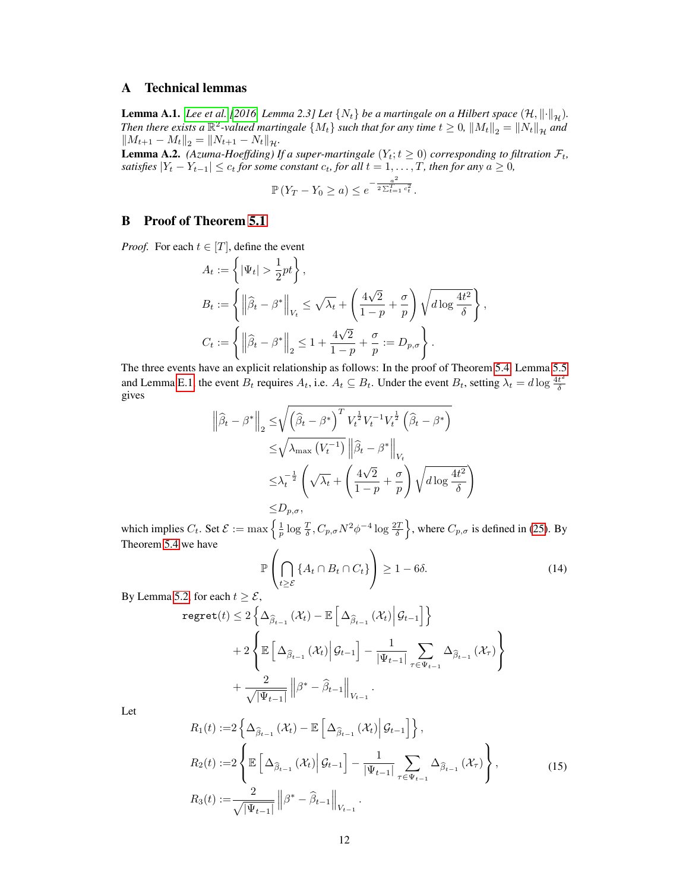## A Technical lemmas

<span id="page-11-3"></span>**Lemma A.1.** *[Lee et al.](#page-10-10)* [\[2016,](#page-10-10) *Lemma 2.3] Let*  $\{N_t\}$  *be a martingale on a Hilbert space*  $(\mathcal{H}, \|\cdot\|_{\mathcal{H}})$ *. Then there exists a*  $\mathbb{R}^2$ -valued martingale  $\{M_t\}$  such that for any time  $t \geq 0$ ,  $||M_t||_2 = ||N_t||_{\mathcal{H}}$  and  $||M_{t+1} - M_t||_2 = ||N_{t+1} - N_t||_{\mathcal{H}}.$ 

<span id="page-11-0"></span>**Lemma A.2.** *(Azuma-Hoeffding) If a super-martingale*  $(Y_t; t \ge 0)$  *corresponding to filtration*  $\mathcal{F}_t$ *, satisfies*  $|Y_t - Y_{t-1}| \leq c_t$  *for some constant*  $c_t$ *, for all*  $t = 1, \ldots, T$ *, then for any*  $a \geq 0$ *,* 

$$
\mathbb{P}(Y_T - Y_0 \ge a) \le e^{-\frac{a^2}{2\sum_{t=1}^T c_t^2}}.
$$

## B Proof of Theorem [5.1](#page-5-0)

*Proof.* For each  $t \in [T]$ , define the event

$$
A_t := \left\{ |\Psi_t| > \frac{1}{2}pt \right\},
$$
  
\n
$$
B_t := \left\{ \left\| \widehat{\beta}_t - \beta^* \right\|_{V_t} \le \sqrt{\lambda_t} + \left( \frac{4\sqrt{2}}{1-p} + \frac{\sigma}{p} \right) \sqrt{d \log \frac{4t^2}{\delta}} \right\},
$$
  
\n
$$
C_t := \left\{ \left\| \widehat{\beta}_t - \beta^* \right\|_2 \le 1 + \frac{4\sqrt{2}}{1-p} + \frac{\sigma}{p} := D_{p,\sigma} \right\}.
$$

The three events have an explicit relationship as follows: In the proof of Theorem [5.4,](#page-7-0) Lemma [5.5](#page-7-6) and Lemma [E.1,](#page-16-1) the event  $B_t$  requires  $A_t$ , i.e.  $A_t \subseteq B_t$ . Under the event  $B_t$ , setting  $\lambda_t = d \log \frac{4t^2}{\delta}$ δ gives

$$
\|\widehat{\beta}_t - \beta^*\|_2 \leq \sqrt{\left(\widehat{\beta}_t - \beta^*\right)^T V_t^{\frac{1}{2}} V_t^{-1} V_t^{\frac{1}{2}} \left(\widehat{\beta}_t - \beta^*\right)}
$$
  

$$
\leq \sqrt{\lambda_{\max} (V_t^{-1})} \left\|\widehat{\beta}_t - \beta^*\right\|_{V_t}
$$
  

$$
\leq \lambda_t^{-\frac{1}{2}} \left(\sqrt{\lambda_t} + \left(\frac{4\sqrt{2}}{1-p} + \frac{\sigma}{p}\right) \sqrt{d \log \frac{4t^2}{\delta}}\right)
$$
  

$$
\leq D_{p,\sigma},
$$

which implies  $C_t$ . Set  $\mathcal{E} := \max \left\{ \frac{1}{p} \log \frac{T}{\delta}, C_{p,\sigma} N^2 \phi^{-4} \log \frac{2T}{\delta} \right\}$ , where  $C_{p,\sigma}$  is defined in [\(25\)](#page-20-0). By Theorem [5.4](#page-7-0) we have

<span id="page-11-1"></span>
$$
\mathbb{P}\left(\bigcap_{t\geq\mathcal{E}}\left\{A_t\cap B_t\cap C_t\right\}\right)\geq 1-6\delta. \tag{14}
$$

By Lemma [5.2,](#page-6-0) for each  $t \geq \mathcal{E}$ ,

$$
regret(t) \leq 2\left\{\Delta_{\widehat{\beta}_{t-1}}\left(\mathcal{X}_t\right) - \mathbb{E}\left[\Delta_{\widehat{\beta}_{t-1}}\left(\mathcal{X}_t\right) \middle| \mathcal{G}_{t-1}\right]\right\} + 2\left\{\mathbb{E}\left[\Delta_{\widehat{\beta}_{t-1}}\left(\mathcal{X}_t\right) \middle| \mathcal{G}_{t-1}\right] - \frac{1}{|\Psi_{t-1}|} \sum_{\tau \in \Psi_{t-1}} \Delta_{\widehat{\beta}_{t-1}}\left(\mathcal{X}_\tau\right)\right\} + \frac{2}{\sqrt{|\Psi_{t-1}|}} \left\|\beta^* - \widehat{\beta}_{t-1}\right\|_{V_{t-1}}.
$$

<span id="page-11-2"></span>Let

$$
R_1(t) := 2\left\{\Delta_{\widehat{\beta}_{t-1}}\left(\mathcal{X}_t\right) - \mathbb{E}\left[\Delta_{\widehat{\beta}_{t-1}}\left(\mathcal{X}_t\right) \Big| \mathcal{G}_{t-1}\right]\right\},
$$
  
\n
$$
R_2(t) := 2\left\{\mathbb{E}\left[\Delta_{\widehat{\beta}_{t-1}}\left(\mathcal{X}_t\right) \Big| \mathcal{G}_{t-1}\right] - \frac{1}{|\Psi_{t-1}|} \sum_{\tau \in \Psi_{t-1}} \Delta_{\widehat{\beta}_{t-1}}\left(\mathcal{X}_\tau\right)\right\},
$$
  
\n
$$
R_3(t) := \frac{2}{\sqrt{|\Psi_{t-1}|}} \left\|\beta^* - \widehat{\beta}_{t-1}\right\|_{V_{t-1}}.
$$
\n(15)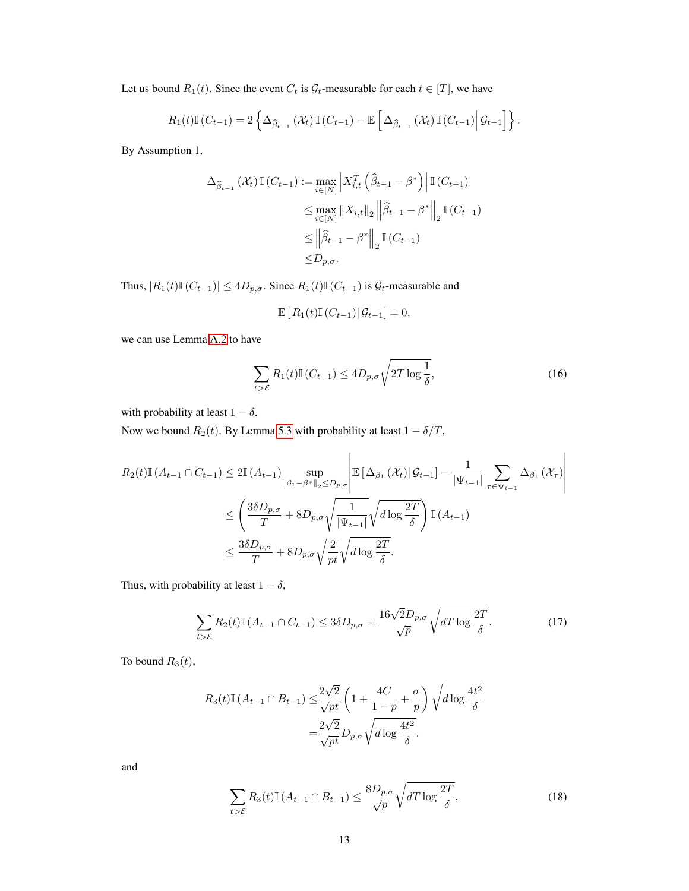Let us bound  $R_1(t)$ . Since the event  $C_t$  is  $\mathcal{G}_t$ -measurable for each  $t \in [T]$ , we have

$$
R_1(t)\mathbb{I}\left(C_{t-1}\right)=2\left\{\Delta_{\widehat{\beta}_{t-1}}\left(\mathcal{X}_t\right)\mathbb{I}\left(C_{t-1}\right)-\mathbb{E}\left[\Delta_{\widehat{\beta}_{t-1}}\left(\mathcal{X}_t\right)\mathbb{I}\left(C_{t-1}\right)\middle|\mathcal{G}_{t-1}\right]\right\}.
$$

By Assumption 1,

$$
\Delta_{\hat{\beta}_{t-1}}(\mathcal{X}_t) \mathbb{I}(C_{t-1}) := \max_{i \in [N]} \left| X_{i,t}^T \left( \hat{\beta}_{t-1} - \beta^* \right) \right| \mathbb{I}(C_{t-1})
$$
  
\n
$$
\leq \max_{i \in [N]} \| X_{i,t} \|_2 \left\| \hat{\beta}_{t-1} - \beta^* \right\|_2 \mathbb{I}(C_{t-1})
$$
  
\n
$$
\leq \left\| \hat{\beta}_{t-1} - \beta^* \right\|_2 \mathbb{I}(C_{t-1})
$$
  
\n
$$
\leq D_{p,\sigma}.
$$

Thus,  $|R_1(t)\mathbb{I}(C_{t-1})| \leq 4D_{p,\sigma}$ . Since  $R_1(t)\mathbb{I}(C_{t-1})$  is  $\mathcal{G}_t$ -measurable and

$$
\mathbb{E}\left[R_1(t)\mathbb{I}\left(C_{t-1}\right)\big|\mathcal{G}_{t-1}\right] = 0,
$$

we can use Lemma [A.2](#page-11-0) to have

$$
\sum_{t>\mathcal{E}} R_1(t) \mathbb{I}\left(C_{t-1}\right) \le 4D_{p,\sigma}\sqrt{2T\log\frac{1}{\delta}},\tag{16}
$$

with probability at least  $1 - \delta$ .

Now we bound  $R_2(t)$ . By Lemma [5.3](#page-7-3) with probability at least  $1 - \delta/T$ ,

$$
R_2(t)\mathbb{I}(A_{t-1}\cap C_{t-1}) \le 2\mathbb{I}(A_{t-1}) \sup_{\|\beta_1 - \beta^*\|_2 \le D_{p,\sigma}} \left| \mathbb{E}\left[\Delta_{\beta_1}(\mathcal{X}_t) | \mathcal{G}_{t-1}\right] - \frac{1}{|\Psi_{t-1}|} \sum_{\tau \in \Psi_{t-1}} \Delta_{\beta_1}(\mathcal{X}_\tau) \right|
$$
  

$$
\le \left(\frac{3\delta D_{p,\sigma}}{T} + 8D_{p,\sigma}\sqrt{\frac{1}{|\Psi_{t-1}|}}\sqrt{d\log\frac{2T}{\delta}}\right) \mathbb{I}(A_{t-1})
$$
  

$$
\le \frac{3\delta D_{p,\sigma}}{T} + 8D_{p,\sigma}\sqrt{\frac{2}{pt}}\sqrt{d\log\frac{2T}{\delta}}.
$$

Thus, with probability at least  $1 - \delta$ ,

$$
\sum_{t>\mathcal{E}} R_2(t) \mathbb{I}\left(A_{t-1} \cap C_{t-1}\right) \le 3\delta D_{p,\sigma} + \frac{16\sqrt{2}D_{p,\sigma}}{\sqrt{p}} \sqrt{dT \log \frac{2T}{\delta}}.\tag{17}
$$

To bound  $R_3(t)$ ,

$$
R_3(t)\mathbb{I}\left(A_{t-1}\cap B_{t-1}\right) \leq \frac{2\sqrt{2}}{\sqrt{pt}} \left(1 + \frac{4C}{1-p} + \frac{\sigma}{p}\right) \sqrt{d\log\frac{4t^2}{\delta}}
$$

$$
= \frac{2\sqrt{2}}{\sqrt{pt}} D_{p,\sigma} \sqrt{d\log\frac{4t^2}{\delta}}.
$$

<span id="page-12-0"></span>and

$$
\sum_{t>\mathcal{E}} R_3(t) \mathbb{I}\left(A_{t-1} \cap B_{t-1}\right) \le \frac{8D_{p,\sigma}}{\sqrt{p}} \sqrt{dT \log \frac{2T}{\delta}},\tag{18}
$$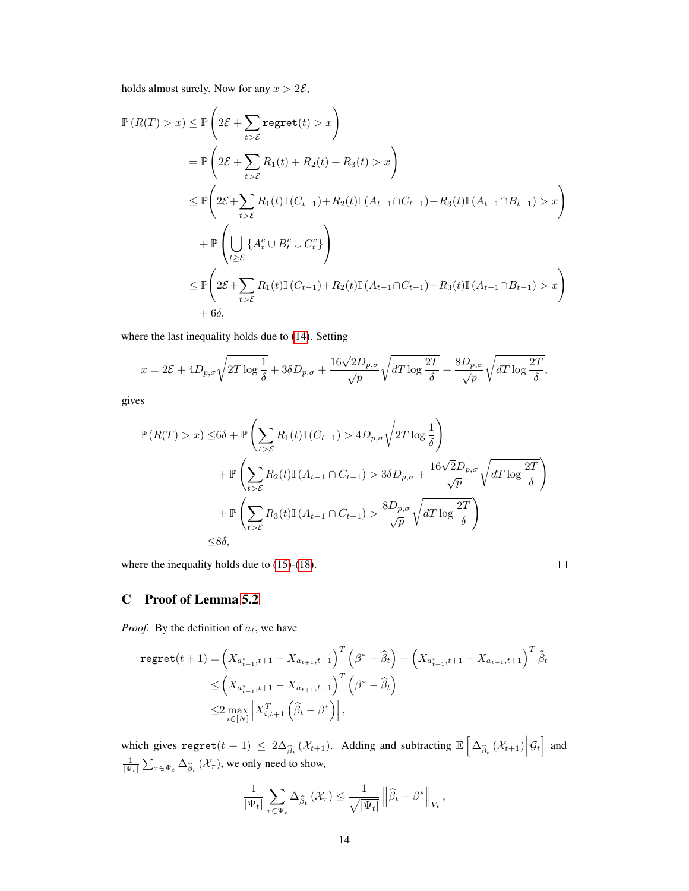holds almost surely. Now for any  $x > 2\mathcal{E}$ ,

$$
\mathbb{P}\left(R(T) > x\right) \leq \mathbb{P}\left(2\mathcal{E} + \sum_{t > \mathcal{E}} \text{regret}(t) > x\right)
$$
\n
$$
= \mathbb{P}\left(2\mathcal{E} + \sum_{t > \mathcal{E}} R_1(t) + R_2(t) + R_3(t) > x\right)
$$
\n
$$
\leq \mathbb{P}\left(2\mathcal{E} + \sum_{t > \mathcal{E}} R_1(t)\mathbb{I}\left(C_{t-1}\right) + R_2(t)\mathbb{I}\left(A_{t-1}\cap C_{t-1}\right) + R_3(t)\mathbb{I}\left(A_{t-1}\cap B_{t-1}\right) > x\right)
$$
\n
$$
+ \mathbb{P}\left(\bigcup_{t \geq \mathcal{E}} \left\{A_t^c \cup B_t^c \cup C_t^c\right\}\right)
$$
\n
$$
\leq \mathbb{P}\left(2\mathcal{E} + \sum_{t > \mathcal{E}} R_1(t)\mathbb{I}\left(C_{t-1}\right) + R_2(t)\mathbb{I}\left(A_{t-1}\cap C_{t-1}\right) + R_3(t)\mathbb{I}\left(A_{t-1}\cap B_{t-1}\right) > x\right)
$$
\n
$$
+ 6\delta,
$$

where the last inequality holds due to [\(14\)](#page-11-1). Setting

$$
x = 2\mathcal{E} + 4D_{p,\sigma}\sqrt{2T\log\frac{1}{\delta}} + 3\delta D_{p,\sigma} + \frac{16\sqrt{2}D_{p,\sigma}}{\sqrt{p}}\sqrt{dT\log\frac{2T}{\delta}} + \frac{8D_{p,\sigma}}{\sqrt{p}}\sqrt{dT\log\frac{2T}{\delta}},
$$

gives

$$
\mathbb{P}\left(R(T) > x\right) \leq 6\delta + \mathbb{P}\left(\sum_{t>\mathcal{E}} R_1(t)\mathbb{I}\left(C_{t-1}\right) > 4D_{p,\sigma}\sqrt{2T\log\frac{1}{\delta}}\right) \n+ \mathbb{P}\left(\sum_{t>\mathcal{E}} R_2(t)\mathbb{I}\left(A_{t-1}\cap C_{t-1}\right) > 3\delta D_{p,\sigma} + \frac{16\sqrt{2}D_{p,\sigma}}{\sqrt{p}}\sqrt{dT\log\frac{2T}{\delta}}\right) \n+ \mathbb{P}\left(\sum_{t>\mathcal{E}} R_3(t)\mathbb{I}\left(A_{t-1}\cap C_{t-1}\right) > \frac{8D_{p,\sigma}}{\sqrt{p}}\sqrt{dT\log\frac{2T}{\delta}}\right) \n\leq 8\delta,
$$

where the inequality holds due to [\(15\)](#page-11-2)-[\(18\)](#page-12-0).

$$
\Box
$$

# C Proof of Lemma [5.2](#page-6-0)

*Proof.* By the definition of  $a_t$ , we have

$$
\begin{split} \texttt{regret}(t+1) &= \left( X_{a_{t+1}^*,t+1} - X_{a_{t+1},t+1} \right)^T \left( \beta^* - \widehat{\beta}_t \right) + \left( X_{a_{t+1}^*,t+1} - X_{a_{t+1},t+1} \right)^T \widehat{\beta}_t \\ &\le \left( X_{a_{t+1}^*,t+1} - X_{a_{t+1},t+1} \right)^T \left( \beta^* - \widehat{\beta}_t \right) \\ &\le 2 \max_{i \in [N]} \left| X_{i,t+1}^T \left( \widehat{\beta}_t - \beta^* \right) \right|, \end{split}
$$

which gives  $\text{regret}(t + 1) \leq 2\Delta_{\widehat{\beta}_t}(\mathcal{X}_{t+1})$ . Adding and subtracting  $\mathbb{E}\left[\Delta_{\widehat{\beta}_t}(\mathcal{X}_{t+1})\Big|\mathcal{G}_t\right]$  and  $\frac{1}{|\Psi_t|} \sum_{\tau \in \Psi_t} \Delta_{\widehat{\beta}_t} (\mathcal{X}_\tau)$ , we only need to show,

$$
\frac{1}{|\Psi_t|} \sum_{\tau \in \Psi_t} \Delta_{\widehat{\beta}_t} (\mathcal{X}_{\tau}) \leq \frac{1}{\sqrt{|\Psi_t|}} \left\| \widehat{\beta}_t - \beta^* \right\|_{V_t},
$$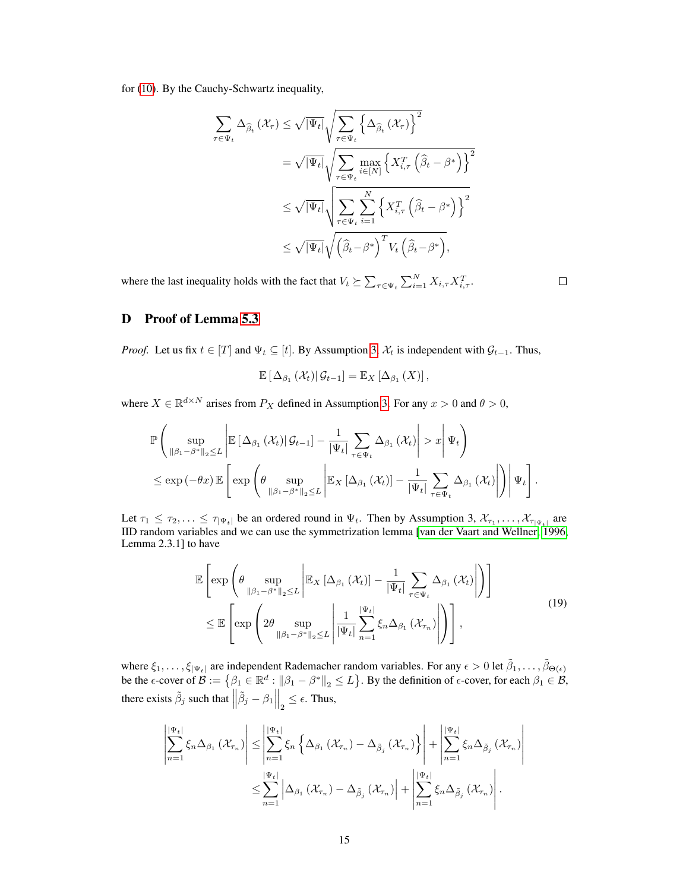for [\(10\)](#page-6-2). By the Cauchy-Schwartz inequality,

$$
\sum_{\tau \in \Psi_t} \Delta_{\widehat{\beta}_t} (\mathcal{X}_{\tau}) \leq \sqrt{|\Psi_t|} \sqrt{\sum_{\tau \in \Psi_t} \left\{ \Delta_{\widehat{\beta}_t} (\mathcal{X}_{\tau}) \right\}^2}
$$
\n
$$
= \sqrt{|\Psi_t|} \sqrt{\sum_{\tau \in \Psi_t} \max_{i \in [N]} \left\{ X_{i,\tau}^T \left( \widehat{\beta}_t - \beta^* \right) \right\}^2}
$$
\n
$$
\leq \sqrt{|\Psi_t|} \sqrt{\sum_{\tau \in \Psi_t} \sum_{i=1}^N \left\{ X_{i,\tau}^T \left( \widehat{\beta}_t - \beta^* \right) \right\}^2}
$$
\n
$$
\leq \sqrt{|\Psi_t|} \sqrt{\left( \widehat{\beta}_t - \beta^* \right)^T V_t \left( \widehat{\beta}_t - \beta^* \right)},
$$

where the last inequality holds with the fact that  $V_t \succeq \sum_{\tau \in \Psi_t} \sum_{i=1}^N X_{i,\tau} X_{i,\tau}^T$ .

 $\Box$ 

# D Proof of Lemma [5.3](#page-7-3)

*Proof.* Let us fix  $t \in [T]$  and  $\Psi_t \subseteq [t]$ . By Assumption [3,](#page-5-4)  $\mathcal{X}_t$  is independent with  $\mathcal{G}_{t-1}$ . Thus,

$$
\mathbb{E}\left[\Delta_{\beta_1}\left(\mathcal{X}_t\right)|\mathcal{G}_{t-1}\right] = \mathbb{E}_X\left[\Delta_{\beta_1}\left(X\right)\right],
$$

where  $X \in \mathbb{R}^{d \times N}$  arises from  $P_X$  defined in Assumption [3.](#page-5-4) For any  $x > 0$  and  $\theta > 0$ ,

$$
\mathbb{P}\left(\sup_{\|\beta_1-\beta^*\|_2\leq L}\left|\mathbb{E}\left[\Delta_{\beta_1}\left(\mathcal{X}_t\right)|\mathcal{G}_{t-1}\right]-\frac{1}{|\Psi_t|}\sum_{\tau\in\Psi_t}\Delta_{\beta_1}\left(\mathcal{X}_t\right)\right|>x\right|\Psi_t\right) \leq \exp\left(-\theta x\right)\mathbb{E}\left[\exp\left(\theta\sup_{\|\beta_1-\beta^*\|_2\leq L}\left|\mathbb{E}_X\left[\Delta_{\beta_1}\left(\mathcal{X}_t\right)\right]-\frac{1}{|\Psi_t|}\sum_{\tau\in\Psi_t}\Delta_{\beta_1}\left(\mathcal{X}_t\right)\right|\right)\right|\Psi_t\right].
$$

Let  $\tau_1 \leq \tau_2, \ldots \leq \tau_{|\Psi_t|}$  be an ordered round in  $\Psi_t$ . Then by Assumption 3,  $\mathcal{X}_{\tau_1}, \ldots, \mathcal{X}_{\tau_{|\Psi_t|}}$  are IID random variables and we can use the symmetrization lemma [\[van der Vaart and Wellner, 1996,](#page-10-11) Lemma 2.3.1] to have

<span id="page-14-0"></span>
$$
\mathbb{E}\left[\exp\left(\theta \sup_{\|\beta_1-\beta^*\|_2\leq L} \left|\mathbb{E}_X\left[\Delta_{\beta_1}\left(\mathcal{X}_t\right)\right]-\frac{1}{|\Psi_t|}\sum_{\tau\in\Psi_t}\Delta_{\beta_1}\left(\mathcal{X}_t\right)\right|\right)\right]
$$
\n
$$
\leq \mathbb{E}\left[\exp\left(2\theta \sup_{\|\beta_1-\beta^*\|_2\leq L} \left|\frac{1}{|\Psi_t|}\sum_{n=1}^{|\Psi_t|}\xi_n\Delta_{\beta_1}\left(\mathcal{X}_{\tau_n}\right)\right|\right)\right],\tag{19}
$$

where  $\xi_1,\ldots,\xi_{|\Psi_t|}$  are independent Rademacher random variables. For any  $\epsilon > 0$  let  $\tilde{\beta}_1,\ldots,\tilde{\beta}_{\Theta(\epsilon)}$ be the  $\epsilon$ -cover of  $\mathcal{B} := \{ \beta_1 \in \mathbb{R}^d : ||\beta_1 - \beta^*||_2 \le L \}$ . By the definition of  $\epsilon$ -cover, for each  $\beta_1 \in \mathcal{B}$ , there exists  $\tilde{\beta}_j$  such that  $\left\| \tilde{\beta}_j - \beta_1 \right\|_2 \leq \epsilon$ . Thus,

$$
\left| \sum_{n=1}^{|\Psi_t|} \xi_n \Delta_{\beta_1} (\mathcal{X}_{\tau_n}) \right| \leq \left| \sum_{n=1}^{|\Psi_t|} \xi_n \left\{ \Delta_{\beta_1} (\mathcal{X}_{\tau_n}) - \Delta_{\tilde{\beta}_j} (\mathcal{X}_{\tau_n}) \right\} \right| + \left| \sum_{n=1}^{|\Psi_t|} \xi_n \Delta_{\tilde{\beta}_j} (\mathcal{X}_{\tau_n}) \right|
$$
  

$$
\leq \sum_{n=1}^{|\Psi_t|} \left| \Delta_{\beta_1} (\mathcal{X}_{\tau_n}) - \Delta_{\tilde{\beta}_j} (\mathcal{X}_{\tau_n}) \right| + \left| \sum_{n=1}^{|\Psi_t|} \xi_n \Delta_{\tilde{\beta}_j} (\mathcal{X}_{\tau_n}) \right|.
$$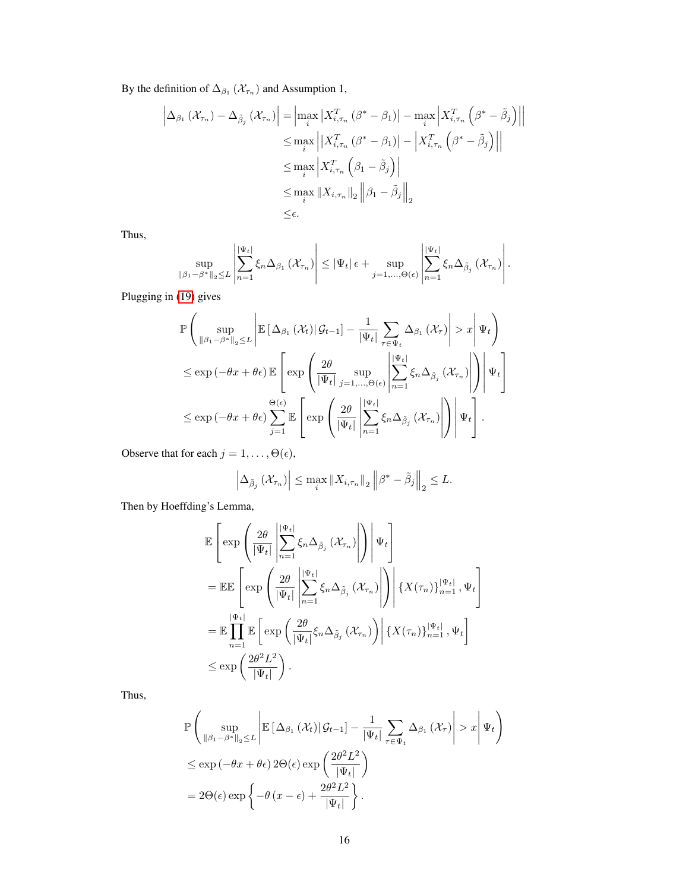By the definition of  $\Delta_{\beta_1}(\mathcal{X}_{\tau_n})$  and Assumption 1,

$$
\left| \Delta_{\beta_1} \left( \mathcal{X}_{\tau_n} \right) - \Delta_{\tilde{\beta}_j} \left( \mathcal{X}_{\tau_n} \right) \right| = \left| \max_i \left| X_{i,\tau_n}^T \left( \beta^* - \beta_1 \right) \right| - \max_i \left| X_{i,\tau_n}^T \left( \beta^* - \tilde{\beta}_j \right) \right| \right|
$$
  
\n
$$
\leq \max_i \left| X_{i,\tau_n}^T \left( \beta^* - \beta_1 \right) \right| - \left| X_{i,\tau_n}^T \left( \beta^* - \tilde{\beta}_j \right) \right| \right|
$$
  
\n
$$
\leq \max_i \left| X_{i,\tau_n}^T \left( \beta_1 - \tilde{\beta}_j \right) \right|
$$
  
\n
$$
\leq \max_i \left| X_{i,\tau_n} \right|_2 \left\| \beta_1 - \tilde{\beta}_j \right\|_2
$$
  
\n
$$
\leq \epsilon.
$$

Thus,

$$
\sup_{\|\beta_1-\beta^*\|_2\leq L} \left|\sum_{n=1}^{|\Psi_t|} \xi_n \Delta_{\beta_1} \left(\mathcal{X}_{\tau_n}\right)\right| \leq |\Psi_t| \epsilon + \sup_{j=1,\ldots,\Theta(\epsilon)} \left|\sum_{n=1}^{|\Psi_t|} \xi_n \Delta_{\tilde{\beta}_j} \left(\mathcal{X}_{\tau_n}\right)\right|.
$$

Plugging in [\(19\)](#page-14-0) gives

$$
\mathbb{P}\left(\sup_{\|\beta_1-\beta^*\|_2\leq L} \left|\mathbb{E}\left[\Delta_{\beta_1}\left(\mathcal{X}_t\right) | \mathcal{G}_{t-1}\right] - \frac{1}{|\Psi_t|} \sum_{\tau\in\Psi_t} \Delta_{\beta_1}\left(\mathcal{X}_\tau\right) \right| > x \middle| \Psi_t\right) \n\leq \exp\left(-\theta x + \theta\epsilon\right) \mathbb{E}\left[\exp\left(\frac{2\theta}{|\Psi_t|} \sup_{j=1,\ldots,\Theta(\epsilon)} \left|\sum_{n=1}^{|\Psi_t|} \xi_n \Delta_{\tilde{\beta}_j}\left(\mathcal{X}_{\tau_n}\right) \right|\right) \middle| \Psi_t\right] \n\leq \exp\left(-\theta x + \theta\epsilon\right) \sum_{j=1}^{\Theta(\epsilon)} \mathbb{E}\left[\exp\left(\frac{2\theta}{|\Psi_t|} \left|\sum_{n=1}^{|\Psi_t|} \xi_n \Delta_{\tilde{\beta}_j}\left(\mathcal{X}_{\tau_n}\right) \right|\right) \middle| \Psi_t\right].
$$

Observe that for each  $j = 1, \ldots, \Theta(\epsilon)$ ,

$$
\left|\Delta_{\tilde{\beta}_{j}}\left(\mathcal{X}_{\tau_{n}}\right)\right| \leq \max_{i} \left\|X_{i,\tau_{n}}\right\|_{2} \left\|\beta^{*}-\tilde{\beta}_{j}\right\|_{2} \leq L.
$$

Then by Hoeffding's Lemma,

$$
\mathbb{E}\left[\exp\left(\frac{2\theta}{|\Psi_t|}\left|\sum_{n=1}^{|\Psi_t|}\xi_n\Delta_{\tilde{\beta}_j}(\mathcal{X}_{\tau_n})\right|\right)\right|\Psi_t\right]
$$
\n
$$
=\mathbb{E}\mathbb{E}\left[\exp\left(\frac{2\theta}{|\Psi_t|}\left|\sum_{n=1}^{|\Psi_t|}\xi_n\Delta_{\tilde{\beta}_j}(\mathcal{X}_{\tau_n})\right|\right)\right|\{X(\tau_n)\}_{n=1}^{|\Psi_t|},\Psi_t\right]
$$
\n
$$
=\mathbb{E}\prod_{n=1}^{|\Psi_t|}\mathbb{E}\left[\exp\left(\frac{2\theta}{|\Psi_t|}\xi_n\Delta_{\tilde{\beta}_j}(\mathcal{X}_{\tau_n})\right)\right|\{X(\tau_n)\}_{n=1}^{|\Psi_t|},\Psi_t\right]
$$
\n
$$
\leq \exp\left(\frac{2\theta^2L^2}{|\Psi_t|}\right).
$$

Thus,

$$
\mathbb{P}\left(\sup_{\|\beta_1 - \beta^*\|_2 \le L} \left| \mathbb{E}\left[\Delta_{\beta_1}(\mathcal{X}_t) | \mathcal{G}_{t-1}\right] - \frac{1}{|\Psi_t|} \sum_{\tau \in \Psi_t} \Delta_{\beta_1}(\mathcal{X}_\tau) \right| > x \right| \Psi_t \right)
$$
\n
$$
\le \exp\left(-\theta x + \theta \epsilon\right) 2\Theta(\epsilon) \exp\left(\frac{2\theta^2 L^2}{|\Psi_t|}\right)
$$
\n
$$
= 2\Theta(\epsilon) \exp\left\{-\theta(x - \epsilon) + \frac{2\theta^2 L^2}{|\Psi_t|}\right\}.
$$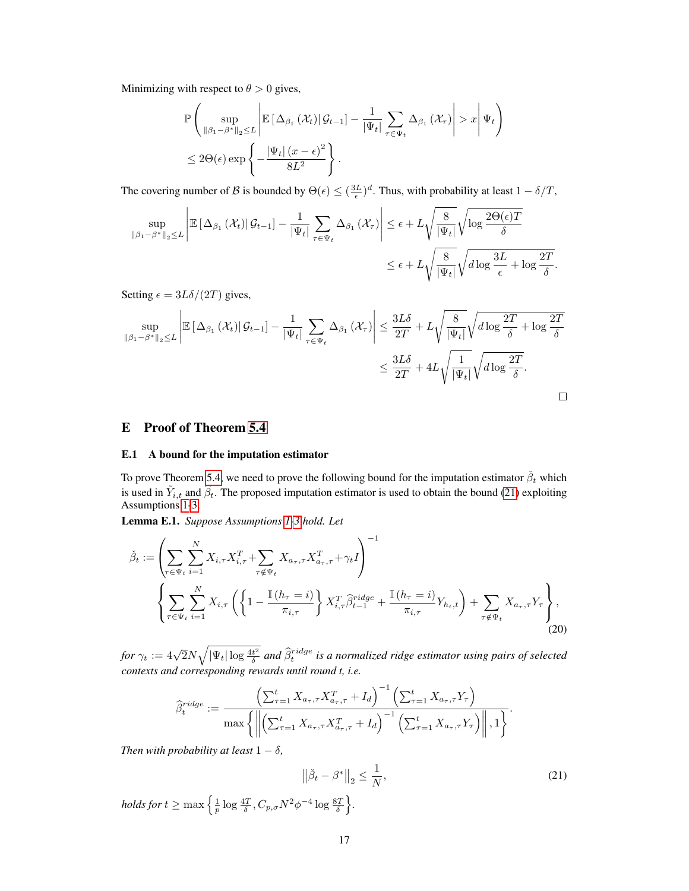Minimizing with respect to  $\theta > 0$  gives,

$$
\mathbb{P}\left(\sup_{\|\beta_1-\beta^*\|_2\leq L} \left|\mathbb{E}\left[\Delta_{\beta_1}\left(\mathcal{X}_t\right)|\mathcal{G}_{t-1}\right]-\frac{1}{|\Psi_t|}\sum_{\tau\in\Psi_t}\Delta_{\beta_1}\left(\mathcal{X}_\tau\right)\right|>x\right|\Psi_t\right) \leq 2\Theta(\epsilon)\exp\left\{-\frac{|\Psi_t|\left(x-\epsilon\right)^2}{8L^2}\right\}.
$$

The covering number of B is bounded by  $\Theta(\epsilon) \leq (\frac{3L}{\epsilon})^d$ . Thus, with probability at least  $1 - \delta/T$ ,

$$
\sup_{\|\beta_1 - \beta^*\|_2 \le L} \left| \mathbb{E} \left[ \Delta_{\beta_1} \left( \mathcal{X}_t \right) \middle| \mathcal{G}_{t-1} \right] - \frac{1}{|\Psi_t|} \sum_{\tau \in \Psi_t} \Delta_{\beta_1} \left( \mathcal{X}_\tau \right) \right| \le \epsilon + L \sqrt{\frac{8}{|\Psi_t|}} \sqrt{\log \frac{2\Theta(\epsilon)T}{\delta}}
$$
  

$$
\le \epsilon + L \sqrt{\frac{8}{|\Psi_t|}} \sqrt{d \log \frac{3L}{\epsilon} + \log \frac{2T}{\delta}}.
$$

Setting  $\epsilon = 3L\delta/(2T)$  gives,

$$
\sup_{\|\beta_1 - \beta^*\|_2 \le L} \left| \mathbb{E} \left[ \Delta_{\beta_1} \left( \mathcal{X}_t \right) \middle| \mathcal{G}_{t-1} \right] - \frac{1}{|\Psi_t|} \sum_{\tau \in \Psi_t} \Delta_{\beta_1} \left( \mathcal{X}_\tau \right) \right| \le \frac{3L\delta}{2T} + L \sqrt{\frac{8}{|\Psi_t|}} \sqrt{d \log \frac{2T}{\delta} + \log \frac{2T}{\delta}}
$$
  

$$
\le \frac{3L\delta}{2T} + 4L \sqrt{\frac{1}{|\Psi_t|}} \sqrt{d \log \frac{2T}{\delta}}.
$$

## E Proof of Theorem [5.4](#page-7-0)

#### <span id="page-16-0"></span>E.1 A bound for the imputation estimator

To prove Theorem [5.4,](#page-7-0) we need to prove the following bound for the imputation estimator  $\check{\beta}_t$  which is used in  $\tilde{Y}_{i,t}$  and  $\hat{\beta}_t$ . The proposed imputation estimator is used to obtain the bound [\(21\)](#page-16-1) exploiting Assumptions [1](#page-5-2)[-3.](#page-5-4)

Lemma E.1. *Suppose Assumptions [1-](#page-5-2)[3](#page-5-4) hold. Let*

<span id="page-16-2"></span>
$$
\check{\beta}_t := \left( \sum_{\tau \in \Psi_t} \sum_{i=1}^N X_{i,\tau} X_{i,\tau}^T + \sum_{\tau \notin \Psi_t} X_{a_\tau,\tau} X_{a_\tau,\tau}^T + \gamma_t I \right)^{-1} \times \left( \sum_{\tau \in \Psi_t} \sum_{i=1}^N X_{i,\tau} \left( \left\{ 1 - \frac{\mathbb{I}\left(h_\tau = i\right)}{\pi_{i,\tau}} \right\} X_{i,\tau}^T \hat{\beta}_{t-1}^{ridge} + \frac{\mathbb{I}\left(h_\tau = i\right)}{\pi_{i,\tau}} Y_{h_t,t} \right) + \sum_{\tau \notin \Psi_t} X_{a_\tau,\tau} Y_\tau \right), \tag{20}
$$

for  $\gamma_t:=4\sqrt{2}N\sqrt{|\Psi_t|\log\frac{4t^2}{\delta}}$  and  $\widehat{\beta}_t^{ridge}$  is a normalized ridge estimator using pairs of selected *contexts and corresponding rewards until round t, i.e.*

<span id="page-16-1"></span>
$$
\widehat{\beta}_{t}^{ridge} := \frac{\left(\sum_{\tau=1}^{t} X_{a_{\tau},\tau} X_{a_{\tau},\tau}^{T} + I_{d}\right)^{-1} \left(\sum_{\tau=1}^{t} X_{a_{\tau},\tau} Y_{\tau}\right)}{\max \left\{\left\|\left(\sum_{\tau=1}^{t} X_{a_{\tau},\tau} X_{a_{\tau},\tau}^{T} + I_{d}\right)^{-1} \left(\sum_{\tau=1}^{t} X_{a_{\tau},\tau} Y_{\tau}\right)\right\|,1\right\}}.
$$

*Then with probability at least*  $1 - \delta$ *,* 

$$
\|\check{\beta}_t - \beta^*\|_2 \le \frac{1}{N},
$$
  
holds for  $t \ge \max\left\{\frac{1}{p}\log\frac{4T}{\delta}, C_{p,\sigma}N^2\phi^{-4}\log\frac{8T}{\delta}\right\}.$  (21)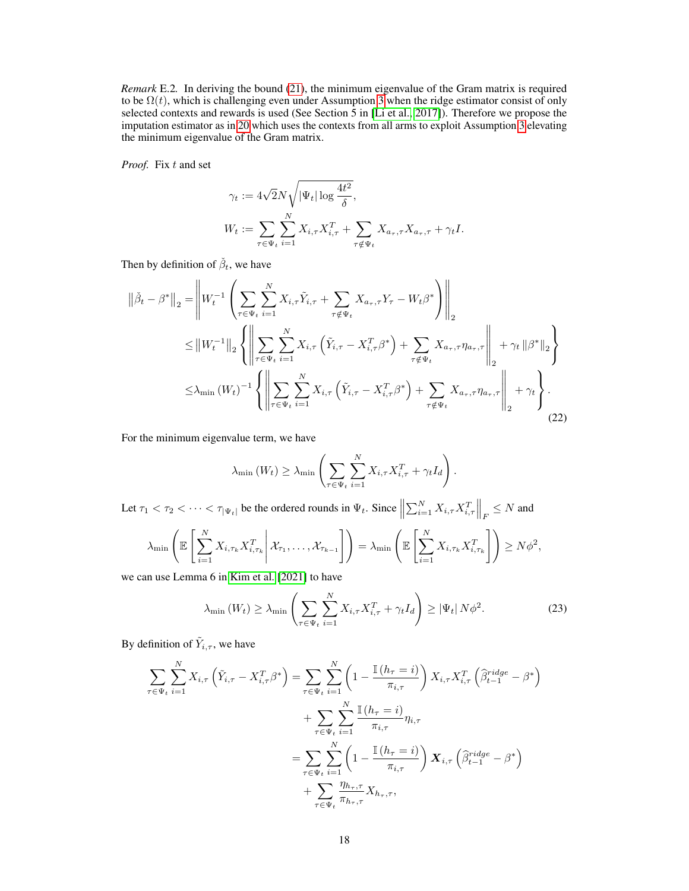*Remark* E.2*.* In deriving the bound [\(21\)](#page-16-1), the minimum eigenvalue of the Gram matrix is required to be  $\Omega(t)$ , which is challenging even under Assumption [3](#page-5-4) when the ridge estimator consist of only selected contexts and rewards is used (See Section 5 in [\[Li et al., 2017\]](#page-10-6)). Therefore we propose the imputation estimator as in [20](#page-16-2) which uses the contexts from all arms to exploit Assumption [3](#page-5-4) elevating the minimum eigenvalue of the Gram matrix.

*Proof.* Fix t and set

<span id="page-17-1"></span>
$$
\gamma_t := 4\sqrt{2}N\sqrt{|\Psi_t| \log \frac{4t^2}{\delta}},
$$
  

$$
W_t := \sum_{\tau \in \Psi_t} \sum_{i=1}^N X_{i,\tau} X_{i,\tau}^T + \sum_{\tau \notin \Psi_t} X_{a_\tau,\tau} X_{a_\tau,\tau} + \gamma_t I.
$$

Then by definition of  $\check{\beta}_t$ , we have

$$
\|\check{\beta}_{t} - \beta^{*}\|_{2} = \left\| W_{t}^{-1} \left( \sum_{\tau \in \Psi_{t}} \sum_{i=1}^{N} X_{i,\tau} \tilde{Y}_{i,\tau} + \sum_{\tau \notin \Psi_{t}} X_{a_{\tau},\tau} Y_{\tau} - W_{t} \beta^{*} \right) \right\|_{2}
$$
  
\n
$$
\leq \|W_{t}^{-1}\|_{2} \left\{ \left\| \sum_{\tau \in \Psi_{t}} \sum_{i=1}^{N} X_{i,\tau} \left( \tilde{Y}_{i,\tau} - X_{i,\tau}^{T} \beta^{*} \right) + \sum_{\tau \notin \Psi_{t}} X_{a_{\tau},\tau} \eta_{a_{\tau},\tau} \right\|_{2} + \gamma_{t} \|\beta^{*}\|_{2} \right\}
$$
  
\n
$$
\leq \lambda_{\min} (W_{t})^{-1} \left\{ \left\| \sum_{\tau \in \Psi_{t}} \sum_{i=1}^{N} X_{i,\tau} \left( \tilde{Y}_{i,\tau} - X_{i,\tau}^{T} \beta^{*} \right) + \sum_{\tau \notin \Psi_{t}} X_{a_{\tau},\tau} \eta_{a_{\tau},\tau} \right\|_{2} + \gamma_{t} \right\}.
$$
\n(22)

For the minimum eigenvalue term, we have

$$
\lambda_{\min}(W_t) \geq \lambda_{\min} \left( \sum_{\tau \in \Psi_t} \sum_{i=1}^N X_{i,\tau} X_{i,\tau}^T + \gamma_t I_d \right).
$$

Let  $\tau_1 < \tau_2 < \cdots < \tau_{|\Psi_t|}$  be the ordered rounds in  $\Psi_t$ . Since  $\left\| \sum_{i=1}^N X_{i,\tau} X_{i,\tau}^T \right\|_F \leq N$  and

$$
\lambda_{\min}\left(\mathbb{E}\left[\sum_{i=1}^N X_{i,\tau_k} X_{i,\tau_k}^T \middle| \mathcal{X}_{\tau_1},\ldots,\mathcal{X}_{\tau_{k-1}}\right]\right) = \lambda_{\min}\left(\mathbb{E}\left[\sum_{i=1}^N X_{i,\tau_k} X_{i,\tau_k}^T\right]\right) \geq N\phi^2,
$$

we can use Lemma 6 in [Kim et al.](#page-9-9) [\[2021\]](#page-9-9) to have

<span id="page-17-0"></span>
$$
\lambda_{\min}\left(W_{t}\right) \geq \lambda_{\min}\left(\sum_{\tau \in \Psi_{t}} \sum_{i=1}^{N} X_{i,\tau} X_{i,\tau}^{T} + \gamma_{t} I_{d}\right) \geq \left|\Psi_{t}\right| N \phi^{2}.
$$
\n(23)

By definition of  $\tilde{Y}_{i,\tau}$ , we have

$$
\sum_{\tau \in \Psi_t} \sum_{i=1}^N X_{i,\tau} \left( \tilde{Y}_{i,\tau} - X_{i,\tau}^T \beta^* \right) = \sum_{\tau \in \Psi_t} \sum_{i=1}^N \left( 1 - \frac{\mathbb{I}(h_{\tau} = i)}{\pi_{i,\tau}} \right) X_{i,\tau} X_{i,\tau}^T \left( \hat{\beta}_{t-1}^{ridge} - \beta^* \right) \n+ \sum_{\tau \in \Psi_t} \sum_{i=1}^N \frac{\mathbb{I}(h_{\tau} = i)}{\pi_{i,\tau}} \eta_{i,\tau} \n= \sum_{\tau \in \Psi_t} \sum_{i=1}^N \left( 1 - \frac{\mathbb{I}(h_{\tau} = i)}{\pi_{i,\tau}} \right) \mathbf{X}_{i,\tau} \left( \hat{\beta}_{t-1}^{ridge} - \beta^* \right) \n+ \sum_{\tau \in \Psi_t} \frac{\eta_{h_{\tau},\tau}}{\pi_{h_{\tau},\tau}} X_{h_{\tau},\tau},
$$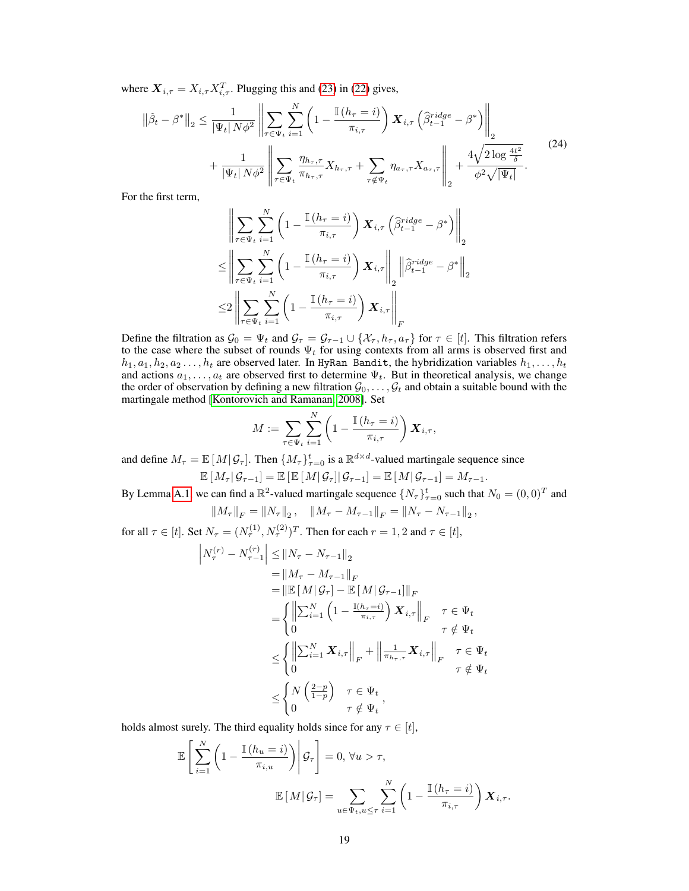where  $X_{i, \tau} = X_{i, \tau} X_{i, \tau}^T$ . Plugging this and [\(23\)](#page-17-0) in [\(22\)](#page-17-1) gives,

$$
\|\check{\beta}_t - \beta^*\|_2 \le \frac{1}{|\Psi_t| N \phi^2} \left\| \sum_{\tau \in \Psi_t} \sum_{i=1}^N \left( 1 - \frac{\mathbb{I}\left(h_\tau = i\right)}{\pi_{i,\tau}} \right) \boldsymbol{X}_{i,\tau} \left( \widehat{\beta}_{t-1}^{ridge} - \beta^* \right) \right\|_2
$$
  
+ 
$$
\frac{1}{|\Psi_t| N \phi^2} \left\| \sum_{\tau \in \Psi_t} \frac{\eta_{h_\tau,\tau}}{\pi_{h_\tau,\tau}} X_{h_\tau,\tau} + \sum_{\tau \notin \Psi_t} \eta_{a_\tau,\tau} X_{a_\tau,\tau} \right\|_2 + \frac{4\sqrt{2 \log \frac{4t^2}{\delta}}}{\phi^2 \sqrt{|\Psi_t|}}.
$$
(24)

For the first term,

<span id="page-18-0"></span>
$$
\left\| \sum_{\tau \in \Psi_t} \sum_{i=1}^N \left( 1 - \frac{\mathbb{I}(h_{\tau} = i)}{\pi_{i,\tau}} \right) \mathbf{X}_{i,\tau} \left( \hat{\beta}_{t-1}^{ridge} - \beta^* \right) \right\|_2
$$
  

$$
\leq \left\| \sum_{\tau \in \Psi_t} \sum_{i=1}^N \left( 1 - \frac{\mathbb{I}(h_{\tau} = i)}{\pi_{i,\tau}} \right) \mathbf{X}_{i,\tau} \right\|_2 \left\| \hat{\beta}_{t-1}^{ridge} - \beta^* \right\|_2
$$
  

$$
\leq 2 \left\| \sum_{\tau \in \Psi_t} \sum_{i=1}^N \left( 1 - \frac{\mathbb{I}(h_{\tau} = i)}{\pi_{i,\tau}} \right) \mathbf{X}_{i,\tau} \right\|_F
$$

Define the filtration as  $\mathcal{G}_0 = \Psi_t$  and  $\mathcal{G}_\tau = \mathcal{G}_{\tau-1} \cup \{\mathcal{X}_\tau, h_\tau, a_\tau\}$  for  $\tau \in [t]$ . This filtration refers to the case where the subset of rounds  $\Psi_t$  for using contexts from all arms is observed first and  $h_1, a_1, h_2, a_2 \ldots, h_t$  are observed later. In HyRan Bandit, the hybridization variables  $h_1, \ldots, h_t$ and actions  $a_1, \ldots, a_t$  are observed first to determine  $\Psi_t$ . But in theoretical analysis, we change the order of observation by defining a new filtration  $\mathcal{G}_0, \ldots, \mathcal{G}_t$  and obtain a suitable bound with the martingale method [\[Kontorovich and Ramanan, 2008\]](#page-10-12). Set

$$
M := \sum_{\tau \in \Psi_t} \sum_{i=1}^N \left(1 - \frac{\mathbb{I}(h_\tau = i)}{\pi_{i,\tau}}\right) \boldsymbol{X}_{i,\tau},
$$

and define  $M_{\tau} = \mathbb{E}[M|\mathcal{G}_{\tau}]$ . Then  $\{M_{\tau}\}_{\tau=0}^{t}$  is a  $\mathbb{R}^{d \times d}$ -valued martingale sequence since

$$
\mathbb{E}[M_{\tau} | \mathcal{G}_{\tau-1}] = \mathbb{E}[ \mathbb{E}[M | \mathcal{G}_{\tau}] | \mathcal{G}_{\tau-1}] = \mathbb{E}[M | \mathcal{G}_{\tau-1}] = M_{\tau-1}.
$$

By Lemma [A.1,](#page-11-3) we can find a  $\mathbb{R}^2$ -valued martingale sequence  $\{N_\tau\}_{\tau=0}^t$  such that  $N_0 = (0,0)^T$  and

$$
||M_{\tau}||_F = ||N_{\tau}||_2, \quad ||M_{\tau} - M_{\tau-1}||_F = ||N_{\tau} - N_{\tau-1}||_2,
$$

for all  $\tau \in [t]$ . Set  $N_{\tau} = (N_{\tau}^{(1)}, N_{\tau}^{(2)})^T$ . Then for each  $r = 1, 2$  and  $\tau \in [t]$ ,

$$
\begin{aligned}\n\left| N_{\tau}^{(r)} - N_{\tau-1}^{(r)} \right| &\leq \left\| N_{\tau} - N_{\tau-1} \right\|_{2} \\
&= \left\| M_{\tau} - M_{\tau-1} \right\|_{F} \\
&= \left\| \mathbb{E} \left[ M | \mathcal{G}_{\tau} \right] - \mathbb{E} \left[ M | \mathcal{G}_{\tau-1} \right] \right\|_{F} \\
&= \left\{ \left\| \sum_{i=1}^{N} \left( 1 - \frac{\mathbb{I}(h_{\tau}=i)}{\pi_{i,\tau}} \right) \mathbf{X}_{i,\tau} \right\|_{F} \quad \tau \in \Psi_{t} \\
&\leq \left\{ \left\| \sum_{i=1}^{N} \mathbf{X}_{i,\tau} \right\|_{F} + \left\| \frac{1}{\pi_{h_{\tau},\tau}} \mathbf{X}_{i,\tau} \right\|_{F} \quad \tau \in \Psi_{t} \\
&\leq \left\{ N \left( \frac{2-p}{1-p} \right) \quad \tau \in \Psi_{t} \right\} \\
&\leq \begin{cases}\n& \text{if } \mathbb{I}_{\tau} \text{ is a } \mathcal{F} \\
&\text{if } \mathbb{I}_{\tau} \text{ is a } \mathcal{F} \\
&\text{if } \mathbb{I}_{\tau} \text{ is a } \mathcal{F} \text{ is a } \mathcal{F} \text{ is a } \mathcal{F} \text{ is a } \mathcal{F} \text{ is a } \mathcal{F} \text{ is a } \mathcal{F} \text{ is a } \mathcal{F} \text{ is a } \mathcal{F} \text{ is a } \mathcal{F} \text{ is a } \mathcal{F} \text{ is a } \mathcal{F} \text{ is a } \mathcal{F} \text{ is a } \mathcal{F} \text{ is a } \mathcal{F} \text{ is a } \mathcal{F} \text{ is a } \mathcal{F} \text{ is a } \mathcal{F} \text{ is a } \mathcal{F} \text{ is a } \mathcal{F} \text{ is a } \mathcal{F} \text{ is a } \mathcal{F} \text{ is a } \mathcal{F} \text{ is a } \mathcal{F} \text{ is a } \mathcal{F} \text{ is a } \mathcal{F} \text{ is a } \mathcal{F} \text{ is a }
$$

holds almost surely. The third equality holds since for any  $\tau \in [t]$ ,

$$
\mathbb{E}\left[\sum_{i=1}^{N}\left(1-\frac{\mathbb{I}(h_{u}=i)}{\pi_{i,u}}\right)\middle|\mathcal{G}_{\tau}\right]=0, \forall u>\tau,
$$

$$
\mathbb{E}\left[M\middle|\mathcal{G}_{\tau}\right]=\sum_{u\in\Psi_{t}, u\leq\tau}\sum_{i=1}^{N}\left(1-\frac{\mathbb{I}(h_{\tau}=i)}{\pi_{i,\tau}}\right)\boldsymbol{X}_{i,\tau}.
$$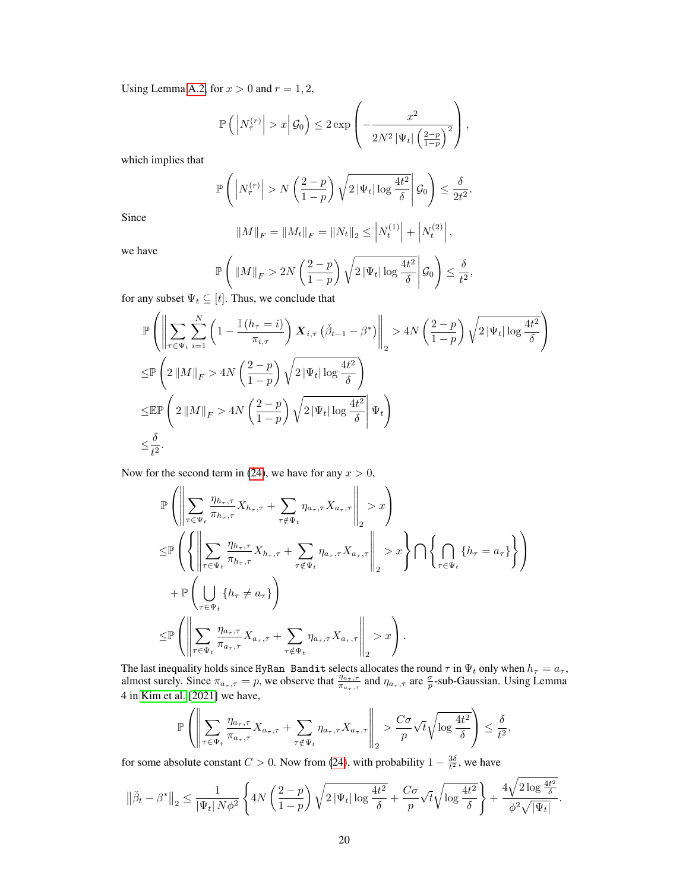Using Lemma [A.2,](#page-11-0) for  $x > 0$  and  $r = 1, 2$ ,

$$
\mathbb{P}\left(\left|N_{\tau}^{(r)}\right|>x\Big|\,\mathcal{G}_0\right)\leq 2\exp\left(-\frac{x^2}{2N^2\left|\Psi_t\right|\left(\frac{2-p}{1-p}\right)^2}\right),\,
$$

which implies that

$$
\mathbb{P}\left(\left|N_{\tau}^{(r)}\right|>N\left(\frac{2-p}{1-p}\right)\sqrt{2\left|\Psi_t\right|\log\frac{4t^2}{\delta}}\middle|\mathcal{G}_0\right)\leq\frac{\delta}{2t^2}.
$$

Since

$$
||M||_F = ||M_t||_F = ||N_t||_2 \le |N_t^{(1)}| + |N_t^{(2)}|,
$$

we have

$$
\mathbb{P}\left(\|M\|_F > 2N\left(\frac{2-p}{1-p}\right)\sqrt{2\left|\Psi_t\right|\log\frac{4t^2}{\delta}}\middle|\mathcal{G}_0\right) \le \frac{\delta}{t^2},\
$$

for any subset  $\Psi_t \subseteq [t]$ . Thus, we conclude that

$$
\mathbb{P}\left(\left\|\sum_{\tau\in\Psi_{t}}\sum_{i=1}^{N}\left(1-\frac{\mathbb{I}\left(h_{\tau}=i\right)}{\pi_{i,\tau}}\right)\boldsymbol{X}_{i,\tau}\left(\check{\beta}_{t-1}-\beta^{*}\right)\right\|_{2} > 4N\left(\frac{2-p}{1-p}\right)\sqrt{2\left|\Psi_{t}\right|\log\frac{4t^{2}}{\delta}}\right)
$$
\n
$$
\leq \mathbb{P}\left(2\left\|M\right\|_{F} > 4N\left(\frac{2-p}{1-p}\right)\sqrt{2\left|\Psi_{t}\right|\log\frac{4t^{2}}{\delta}}\right)
$$
\n
$$
\leq \mathbb{E}\mathbb{P}\left(2\left\|M\right\|_{F} > 4N\left(\frac{2-p}{1-p}\right)\sqrt{2\left|\Psi_{t}\right|\log\frac{4t^{2}}{\delta}}\right|\Psi_{t}\right)
$$
\n
$$
\leq \frac{\delta}{t^{2}}.
$$

Now for the second term in [\(24\)](#page-18-0), we have for any  $x > 0$ ,

$$
\mathbb{P}\left(\left\|\sum_{\tau\in\Psi_{t}}\frac{\eta_{h_{\tau},\tau}}{\pi_{h_{\tau},\tau}}X_{h_{\tau},\tau}+\sum_{\tau\notin\Psi_{t}}\eta_{a_{\tau},\tau}X_{a_{\tau},\tau}\right\|_{2}>x\right) \n\leq \mathbb{P}\left(\left\{\left\|\sum_{\tau\in\Psi_{t}}\frac{\eta_{h_{\tau},\tau}}{\pi_{h_{\tau},\tau}}X_{h_{\tau},\tau}+\sum_{\tau\notin\Psi_{t}}\eta_{a_{\tau},\tau}X_{a_{\tau},\tau}\right\|_{2}>x\right\}\bigcap\left\{\bigcap_{\tau\in\Psi_{t}}\left\{h_{\tau}=a_{\tau}\right\}\right\} \right) \n+ \mathbb{P}\left(\bigcup_{\tau\in\Psi_{t}}\left\{h_{\tau}\neq a_{\tau}\right\}\right) \n\leq \mathbb{P}\left(\left\|\sum_{\tau\in\Psi_{t}}\frac{\eta_{a_{\tau},\tau}}{\pi_{a_{\tau},\tau}}X_{a_{\tau},\tau}+\sum_{\tau\notin\Psi_{t}}\eta_{a_{\tau},\tau}X_{a_{\tau},\tau}\right\|_{2}>x\right).
$$

The last inequality holds since HyRan Bandit selects allocates the round  $\tau$  in  $\Psi_t$  only when  $h_{\tau} = a_{\tau}$ , almost surely. Since  $\pi_{a_{\tau},\tau} = p$ , we observe that  $\frac{\eta_{a_{\tau},\tau}}{\pi_{a_{\tau},\tau}}$  and  $\eta_{a_{\tau},\tau}$  are  $\frac{\sigma}{p}$ -sub-Gaussian. Using Lemma 4 in [Kim et al.](#page-9-9) [\[2021\]](#page-9-9) we have,

$$
\mathbb{P}\left(\left\|\sum_{\tau\in\Psi_t}\frac{\eta_{a_\tau,\tau}}{\pi_{a_\tau,\tau}}X_{a_\tau,\tau}+\sum_{\tau\notin\Psi_t}\eta_{a_\tau,\tau}X_{a_\tau,\tau}\right\|_2>\frac{C\sigma}{p}\sqrt{t}\sqrt{\log\frac{4t^2}{\delta}}\right)\leq\frac{\delta}{t^2},
$$

for some absolute constant  $C > 0$ . Now from [\(24\)](#page-18-0), with probability  $1 - \frac{3\delta}{t^2}$ , we have

$$
\left\|\check{\beta}_t - \beta^*\right\|_2 \leq \frac{1}{|\Psi_t|\, N\phi^2}\left\{4N\left(\frac{2-p}{1-p}\right)\sqrt{2\,|\Psi_t|\log\frac{4t^2}{\delta}} + \frac{C\sigma}{p}\sqrt{t}\sqrt{\log\frac{4t^2}{\delta}}\right\} + \frac{4\sqrt{2\log\frac{4t^2}{\delta}}}{\phi^2\sqrt{|\Psi_t|}}.
$$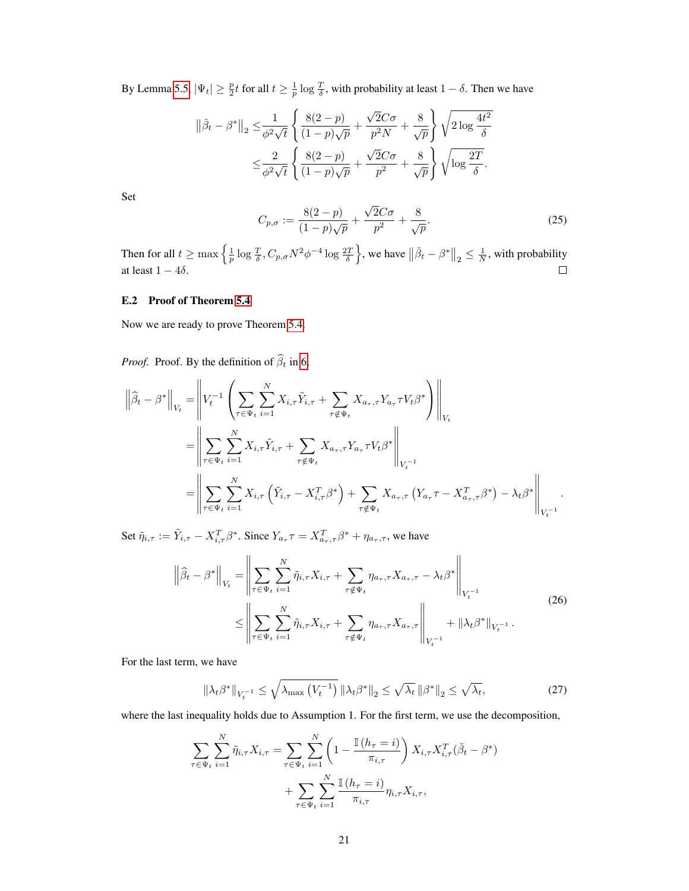By Lemma [5.5,](#page-7-6)  $|\Psi_t| \geq \frac{p}{2}t$  for all  $t \geq \frac{1}{p} \log \frac{T}{\delta}$ , with probability at least  $1 - \delta$ . Then we have

$$
\|\check{\beta}_t - \beta^*\|_2 \leq \frac{1}{\phi^2 \sqrt{t}} \left\{ \frac{8(2-p)}{(1-p)\sqrt{p}} + \frac{\sqrt{2}C\sigma}{p^2 N} + \frac{8}{\sqrt{p}} \right\} \sqrt{2 \log \frac{4t^2}{\delta}}
$$
  

$$
\leq \frac{2}{\phi^2 \sqrt{t}} \left\{ \frac{8(2-p)}{(1-p)\sqrt{p}} + \frac{\sqrt{2}C\sigma}{p^2} + \frac{8}{\sqrt{p}} \right\} \sqrt{\log \frac{2T}{\delta}}.
$$

<span id="page-20-0"></span>Set

$$
C_{p,\sigma} := \frac{8(2-p)}{(1-p)\sqrt{p}} + \frac{\sqrt{2}C\sigma}{p^2} + \frac{8}{\sqrt{p}}.
$$
 (25)

Then for all  $t \ge \max\left\{\frac{1}{p}\log \frac{T}{\delta}, C_{p,\sigma}N^2\phi^{-4}\log \frac{2T}{\delta}\right\}$ , we have  $\left\|\check{\beta}_t - \beta^*\right\|_2 \le \frac{1}{N}$ , with probability at least  $1 - 4\delta$ .

#### E.2 Proof of Theorem [5.4](#page-7-0)

Now we are ready to prove Theorem [5.4.](#page-7-0)

*Proof.* Proof. By the definition of  $\hat{\beta}_t$  in [6,](#page-4-2)

$$
\left\|\widehat{\beta}_t - \beta^*\right\|_{V_t} = \left\|V_t^{-1}\left(\sum_{\tau \in \Psi_t} \sum_{i=1}^N X_{i,\tau} \widetilde{Y}_{i,\tau} + \sum_{\tau \notin \Psi_t} X_{a_\tau,\tau} Y_{a_\tau} \tau V_t \beta^*\right)\right\|_{V_t}
$$
  
\n
$$
= \left\|\sum_{\tau \in \Psi_t} \sum_{i=1}^N X_{i,\tau} \widetilde{Y}_{i,\tau} + \sum_{\tau \notin \Psi_t} X_{a_\tau,\tau} Y_{a_\tau} \tau V_t \beta^*\right\|_{V_t^{-1}}
$$
  
\n
$$
= \left\|\sum_{\tau \in \Psi_t} \sum_{i=1}^N X_{i,\tau} \left(\widetilde{Y}_{i,\tau} - X_{i,\tau}^T \beta^*\right) + \sum_{\tau \notin \Psi_t} X_{a_\tau,\tau} \left(Y_{a_\tau} \tau - X_{a_\tau,\tau}^T \beta^*\right) - \lambda_t \beta^*\right\|_{V_t^{-1}}.
$$

Set  $\tilde{\eta}_{i,\tau} := \tilde{Y}_{i,\tau} - X_{i,\tau}^T \beta^*$ . Since  $Y_{a_{\tau}} \tau = X_{a_{\tau},\tau}^T \beta^* + \eta_{a_{\tau},\tau}$ , we have

<span id="page-20-1"></span>
$$
\left\| \hat{\beta}_t - \beta^* \right\|_{V_t} = \left\| \sum_{\tau \in \Psi_t} \sum_{i=1}^N \tilde{\eta}_{i,\tau} X_{i,\tau} + \sum_{\tau \notin \Psi_t} \eta_{a_{\tau},\tau} X_{a_{\tau},\tau} - \lambda_t \beta^* \right\|_{V_t^{-1}} \n\leq \left\| \sum_{\tau \in \Psi_t} \sum_{i=1}^N \tilde{\eta}_{i,\tau} X_{i,\tau} + \sum_{\tau \notin \Psi_t} \eta_{a_{\tau},\tau} X_{a_{\tau},\tau} \right\|_{V_t^{-1}} + \left\| \lambda_t \beta^* \right\|_{V_t^{-1}}.
$$
\n(26)

For the last term, we have

$$
\left\|\lambda_t\beta^*\right\|_{V_t^{-1}} \le \sqrt{\lambda_{\max}\left(V_t^{-1}\right)} \left\|\lambda_t\beta^*\right\|_2 \le \sqrt{\lambda_t} \left\|\beta^*\right\|_2 \le \sqrt{\lambda_t},\tag{27}
$$

where the last inequality holds due to Assumption 1. For the first term, we use the decomposition,

$$
\sum_{\tau \in \Psi_t} \sum_{i=1}^N \tilde{\eta}_{i,\tau} X_{i,\tau} = \sum_{\tau \in \Psi_t} \sum_{i=1}^N \left( 1 - \frac{\mathbb{I}(h_{\tau} = i)}{\pi_{i,\tau}} \right) X_{i,\tau} X_{i,\tau}^T (\check{\beta}_t - \beta^*) + \sum_{\tau \in \Psi_t} \sum_{i=1}^N \frac{\mathbb{I}(h_{\tau} = i)}{\pi_{i,\tau}} \eta_{i,\tau} X_{i,\tau},
$$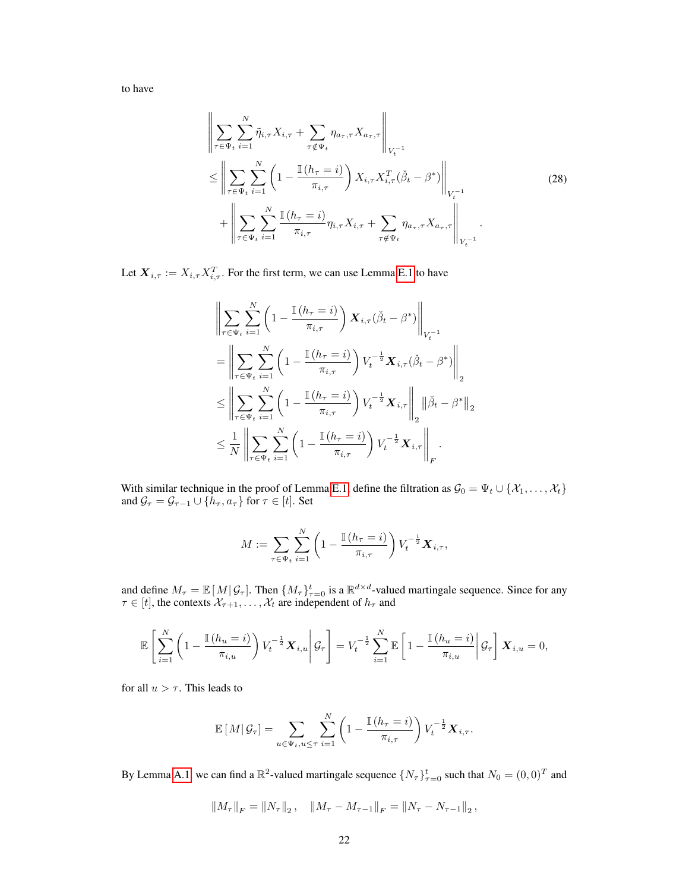<span id="page-21-0"></span>to have

$$
\left\| \sum_{\tau \in \Psi_t} \sum_{i=1}^N \tilde{\eta}_{i,\tau} X_{i,\tau} + \sum_{\tau \notin \Psi_t} \eta_{a_{\tau},\tau} X_{a_{\tau},\tau} \right\|_{V_t^{-1}} \n\leq \left\| \sum_{\tau \in \Psi_t} \sum_{i=1}^N \left( 1 - \frac{\mathbb{I}(h_{\tau} = i)}{\pi_{i,\tau}} \right) X_{i,\tau} X_{i,\tau}^T (\check{\beta}_t - \beta^*) \right\|_{V_t^{-1}} \n+ \left\| \sum_{\tau \in \Psi_t} \sum_{i=1}^N \frac{\mathbb{I}(h_{\tau} = i)}{\pi_{i,\tau}} \eta_{i,\tau} X_{i,\tau} + \sum_{\tau \notin \Psi_t} \eta_{a_{\tau},\tau} X_{a_{\tau},\tau} \right\|_{V_t^{-1}}.
$$
\n(28)

Let  $\boldsymbol{X}_{i,\tau} := X_{i,\tau}X_{i,\tau}^T.$  For the first term, we can use Lemma [E.1](#page-16-1) to have

$$
\left\| \sum_{\tau \in \Psi_t} \sum_{i=1}^N \left( 1 - \frac{\mathbb{I}(h_{\tau} = i)}{\pi_{i,\tau}} \right) \mathbf{X}_{i,\tau}(\check{\beta}_t - \beta^*) \right\|_{V_t^{-1}} \n= \left\| \sum_{\tau \in \Psi_t} \sum_{i=1}^N \left( 1 - \frac{\mathbb{I}(h_{\tau} = i)}{\pi_{i,\tau}} \right) V_t^{-\frac{1}{2}} \mathbf{X}_{i,\tau}(\check{\beta}_t - \beta^*) \right\|_2 \n\leq \left\| \sum_{\tau \in \Psi_t} \sum_{i=1}^N \left( 1 - \frac{\mathbb{I}(h_{\tau} = i)}{\pi_{i,\tau}} \right) V_t^{-\frac{1}{2}} \mathbf{X}_{i,\tau} \right\|_2 \|\check{\beta}_t - \beta^*\|_2 \n\leq \frac{1}{N} \left\| \sum_{\tau \in \Psi_t} \sum_{i=1}^N \left( 1 - \frac{\mathbb{I}(h_{\tau} = i)}{\pi_{i,\tau}} \right) V_t^{-\frac{1}{2}} \mathbf{X}_{i,\tau} \right\|_F.
$$

With similar technique in the proof of Lemma [E.1,](#page-16-1) define the filtration as  $\mathcal{G}_0 = \Psi_t \cup \{X_1, \ldots, X_t\}$ and  $\mathcal{G}_{\tau} = \mathcal{G}_{\tau-1} \cup \{h_{\tau}, a_{\tau}\}\text{ for }\tau\in[t].$  Set

$$
M := \sum_{\tau \in \Psi_t} \sum_{i=1}^N \left( 1 - \frac{\mathbb{I}(h_{\tau} = i)}{\pi_{i,\tau}} \right) V_t^{-\frac{1}{2}} X_{i,\tau},
$$

and define  $M_{\tau} = \mathbb{E}[M|\mathcal{G}_{\tau}]$ . Then  $\{M_{\tau}\}_{\tau=0}^{t}$  is a  $\mathbb{R}^{d \times d}$ -valued martingale sequence. Since for any  $\tau \in [t]$ , the contexts  $\mathcal{X}_{\tau+1}, \ldots, \mathcal{X}_t$  are independent of  $h_{\tau}$  and

$$
\mathbb{E}\left[\sum_{i=1}^N\left(1-\frac{\mathbb{I}(h_u=i)}{\pi_{i,u}}\right)V_t^{-\frac{1}{2}}\mathbf{X}_{i,u}\middle|\mathcal{G}_\tau\right]=V_t^{-\frac{1}{2}}\sum_{i=1}^N\mathbb{E}\left[1-\frac{\mathbb{I}(h_u=i)}{\pi_{i,u}}\middle|\mathcal{G}_\tau\right]\mathbf{X}_{i,u}=0,
$$

for all  $u > \tau$ . This leads to

$$
\mathbb{E}[M|\mathcal{G}_{\tau}] = \sum_{u \in \Psi_t, u \leq \tau} \sum_{i=1}^N \left(1 - \frac{\mathbb{I}(h_{\tau} = i)}{\pi_{i,\tau}}\right) V_t^{-\frac{1}{2}} \mathbf{X}_{i,\tau}.
$$

By Lemma [A.1,](#page-11-3) we can find a  $\mathbb{R}^2$ -valued martingale sequence  $\{N_\tau\}_{\tau=0}^t$  such that  $N_0 = (0,0)^T$  and

$$
||M_{\tau}||_F = ||N_{\tau}||_2, \quad ||M_{\tau} - M_{\tau-1}||_F = ||N_{\tau} - N_{\tau-1}||_2,
$$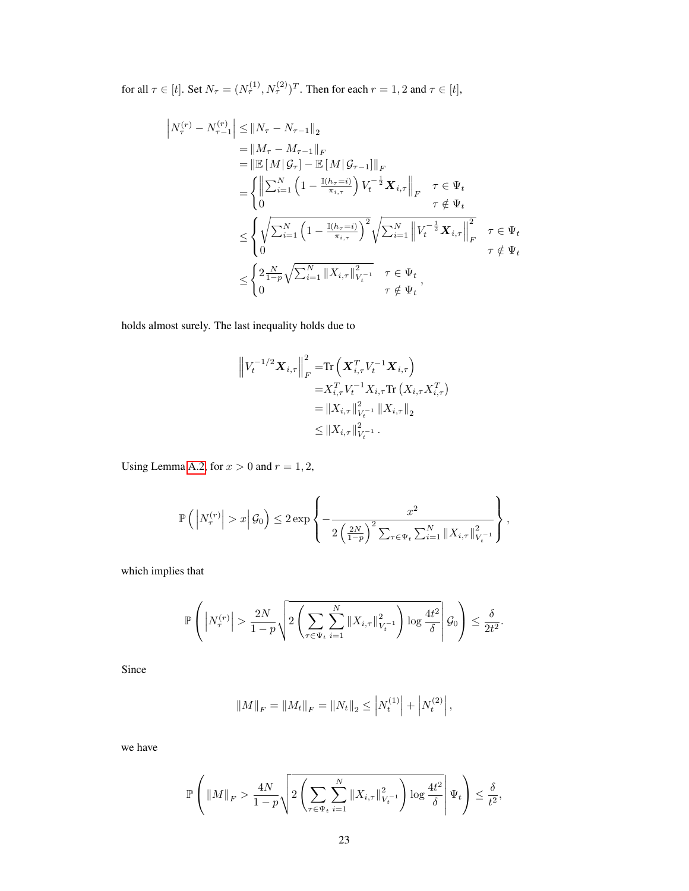for all  $\tau \in [t]$ . Set  $N_{\tau} = (N_{\tau}^{(1)}, N_{\tau}^{(2)})^T$ . Then for each  $r = 1, 2$  and  $\tau \in [t]$ ,

$$
\begin{split} \left| N_{\tau}^{(r)} - N_{\tau-1}^{(r)} \right| &\leq \| N_{\tau} - N_{\tau-1} \|_{2} \\ & = \| M_{\tau} - M_{\tau-1} \|_{F} \\ & = \left\| \mathbb{E} \left[ M | \mathcal{G}_{\tau} \right] - \mathbb{E} \left[ M | \mathcal{G}_{\tau-1} \right] \|_{F} \\ & = \left\{ \left\| \sum_{i=1}^{N} \left( 1 - \frac{\mathbb{I}(h_{\tau}=i)}{\pi_{i,\tau}} \right) V_{t}^{-\frac{1}{2}} \mathbf{X}_{i,\tau} \right\|_{F} \quad \tau \in \Psi_{t} \\ & \leq \left\{ \sqrt{\sum_{i=1}^{N} \left( 1 - \frac{\mathbb{I}(h_{\tau}=i)}{\pi_{i,\tau}} \right)^{2}} \sqrt{\sum_{i=1}^{N} \left\| V_{t}^{-\frac{1}{2}} \mathbf{X}_{i,\tau} \right\|_{F}^{2}} \quad \tau \in \Psi_{t} \\ & \leq \left\{ 2 \frac{N}{1-p} \sqrt{\sum_{i=1}^{N} \| X_{i,\tau} \|_{V_{t}^{-1}}^{2}} \quad \tau \in \Psi_{t} \\ 0 \quad \tau \notin \Psi_{t} \right\} \end{split}
$$

holds almost surely. The last inequality holds due to

$$
\left\|V_t^{-1/2} \mathbf{X}_{i,\tau}\right\|_F^2 = \text{Tr}\left(\mathbf{X}_{i,\tau}^T V_t^{-1} \mathbf{X}_{i,\tau}\right)
$$
  
\n
$$
= X_{i,\tau}^T V_t^{-1} X_{i,\tau} \text{Tr}\left(X_{i,\tau} X_{i,\tau}^T\right)
$$
  
\n
$$
= \|X_{i,\tau}\|_{V_t^{-1}}^2 \|X_{i,\tau}\|_2
$$
  
\n
$$
\leq \|X_{i,\tau}\|_{V_t^{-1}}^2.
$$

Using Lemma [A.2,](#page-11-0) for  $x > 0$  and  $r = 1, 2$ ,

$$
\mathbb{P}\left(\left|N_{\tau}^{(r)}\right|>x\middle|\mathcal{G}_0\right)\leq 2\exp\left\{-\frac{x^2}{2\left(\frac{2N}{1-p}\right)^2\sum_{\tau\in\Psi_t}\sum_{i=1}^N\left\|X_{i,\tau}\right\|_{V_t^{-1}}^2}\right\},\right\}
$$

which implies that

$$
\mathbb{P}\left(\left|N_{\tau}^{(r)}\right|>\frac{2N}{1-p}\sqrt{2\left(\sum_{\tau\in\Psi_t}\sum_{i=1}^N\|X_{i,\tau}\|_{V_t^{-1}}^2\right)\log\frac{4t^2}{\delta}}\right|\mathcal{G}_0\right)\leq\frac{\delta}{2t^2}.
$$

Since

$$
||M||_F = ||M_t||_F = ||N_t||_2 \le |N_t^{(1)}| + |N_t^{(2)}|,
$$

we have

$$
\mathbb{P}\left(\|M\|_F > \frac{4N}{1-p}\sqrt{2\left(\sum_{\tau \in \Psi_t}\sum_{i=1}^N \|X_{i,\tau}\|_{V_t^{-1}}^2\right)\log \frac{4t^2}{\delta}}\right|\Psi_t\right) \leq \frac{\delta}{t^2},
$$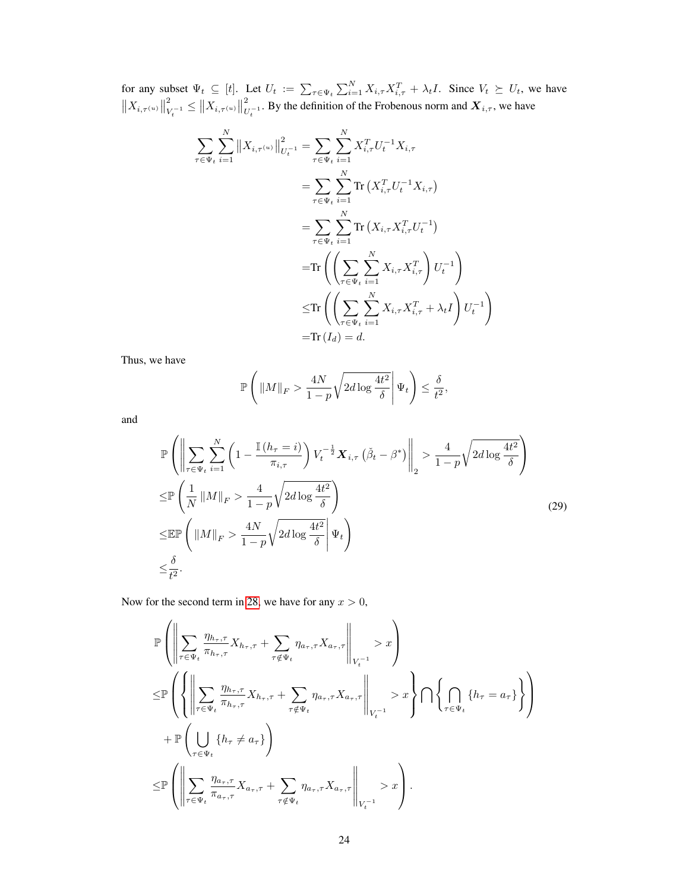for any subset  $\Psi_t \subseteq [t]$ . Let  $U_t := \sum_{\tau \in \Psi_t} \sum_{i=1}^N X_{i,\tau} X_{i,\tau}^T + \lambda_t I$ . Since  $V_t \succeq U_t$ , we have  $||X_{i,\tau^{(u)}}||$ 2  $\frac{1}{V_t^{-1}} \leq \|X_{i,\tau^{(u)}}\|$ 2  $\bigcup_{U_t^{-1}}$ . By the definition of the Frobenous norm and  $X_{i,\tau}$ , we have

$$
\sum_{\tau \in \Psi_t} \sum_{i=1}^N ||X_{i,\tau^{(u)}}||_{U_t^{-1}}^2 = \sum_{\tau \in \Psi_t} \sum_{i=1}^N X_{i,\tau}^T U_t^{-1} X_{i,\tau} \n= \sum_{\tau \in \Psi_t} \sum_{i=1}^N \text{Tr} (X_{i,\tau}^T U_t^{-1} X_{i,\tau}) \n= \sum_{\tau \in \Psi_t} \sum_{i=1}^N \text{Tr} (X_{i,\tau} X_{i,\tau}^T U_t^{-1}) \n= \text{Tr} \left( \left( \sum_{\tau \in \Psi_t} \sum_{i=1}^N X_{i,\tau} X_{i,\tau}^T \right) U_t^{-1} \right) \n\leq \text{Tr} \left( \left( \sum_{\tau \in \Psi_t} \sum_{i=1}^N X_{i,\tau} X_{i,\tau}^T + \lambda_t I \right) U_t^{-1} \right) \n= \text{Tr} (I_d) = d.
$$

Thus, we have

$$
\mathbb{P}\left(\left\|M\right\|_F > \frac{4N}{1-p}\sqrt{2d\log\frac{4t^2}{\delta}}\right|\Psi_t\right) \leq \frac{\delta}{t^2},
$$

and

$$
\mathbb{P}\left(\left\|\sum_{\tau\in\Psi_{t}}\sum_{i=1}^{N}\left(1-\frac{\mathbb{I}\left(h_{\tau}=i\right)}{\pi_{i,\tau}}\right)V_{t}^{-\frac{1}{2}}\boldsymbol{X}_{i,\tau}\left(\tilde{\beta}_{t}-\beta^{*}\right)\right\|_{2} > \frac{4}{1-p}\sqrt{2d\log\frac{4t^{2}}{\delta}}
$$
\n
$$
\leq \mathbb{P}\left(\frac{1}{N}\left\|M\right\|_{F} > \frac{4}{1-p}\sqrt{2d\log\frac{4t^{2}}{\delta}}\right)
$$
\n
$$
\leq \mathbb{E}\mathbb{P}\left(\left\|M\right\|_{F} > \frac{4N}{1-p}\sqrt{2d\log\frac{4t^{2}}{\delta}}\right|\Psi_{t}\right)
$$
\n
$$
\leq \frac{\delta}{t^{2}}.
$$
\n(29)

Now for the second term in [28,](#page-21-0) we have for any  $x > 0$ ,

$$
\mathbb{P}\left(\left\|\sum_{\tau\in\Psi_t}\frac{\eta_{h_{\tau},\tau}}{\pi_{h_{\tau},\tau}}X_{h_{\tau},\tau}+\sum_{\tau\notin\Psi_t}\eta_{a_{\tau},\tau}X_{a_{\tau},\tau}\right\|_{V_t^{-1}}>x\right) \n\leq \mathbb{P}\left(\left\{\left\|\sum_{\tau\in\Psi_t}\frac{\eta_{h_{\tau},\tau}}{\pi_{h_{\tau},\tau}}X_{h_{\tau},\tau}+\sum_{\tau\notin\Psi_t}\eta_{a_{\tau},\tau}X_{a_{\tau},\tau}\right\|_{V_t^{-1}}>x\right\}\bigcap\left\{\bigcap_{\tau\in\Psi_t}\left\{h_{\tau}=a_{\tau}\right\}\right\} \n+ \mathbb{P}\left(\bigcup_{\tau\in\Psi_t}\left\{h_{\tau}\neq a_{\tau}\right\}\right) \n\leq \mathbb{P}\left(\left\|\sum_{\tau\in\Psi_t}\frac{\eta_{a_{\tau},\tau}}{\pi_{a_{\tau},\tau}}X_{a_{\tau},\tau}+\sum_{\tau\notin\Psi_t}\eta_{a_{\tau},\tau}X_{a_{\tau},\tau}\right\|_{V_t^{-1}}>x\right).
$$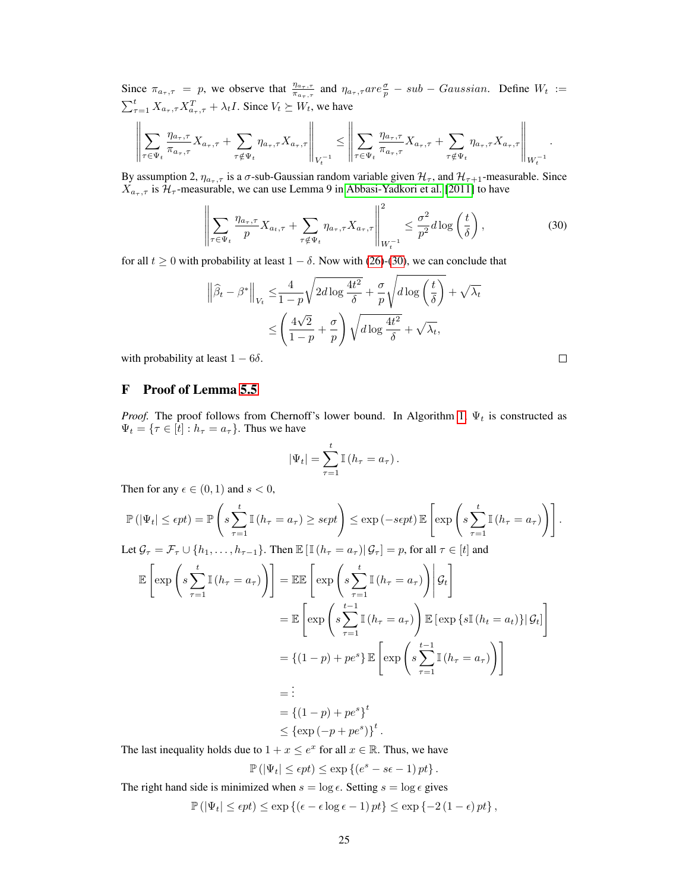Since  $\pi_{a_{\tau},\tau} = p$ , we observe that  $\frac{\eta_{a_{\tau},\tau}}{\pi_{a_{\tau},\tau}}$  and  $\eta_{a_{\tau},\tau}$  are  $\frac{\sigma}{p} - sub - Gaussian$ . Define  $W_t :=$  $\sum_{\tau=1}^t X_{a_\tau, \tau} X_{a_\tau, \tau}^T + \lambda_t I$ . Since  $V_t \succeq W_t$ , we have

$$
\left\|\sum_{\tau\in\Psi_t}\frac{\eta_{a_\tau,\tau}}{\pi_{a_\tau,\tau}}X_{a_\tau,\tau}+\sum_{\tau\notin\Psi_t}\eta_{a_\tau,\tau}X_{a_\tau,\tau}\right\|_{V_t^{-1}}\leq \left\|\sum_{\tau\in\Psi_t}\frac{\eta_{a_\tau,\tau}}{\pi_{a_\tau,\tau}}X_{a_\tau,\tau}+\sum_{\tau\notin\Psi_t}\eta_{a_\tau,\tau}X_{a_\tau,\tau}\right\|_{W_t^{-1}}.
$$

By assumption 2,  $\eta_{a_{\tau},\tau}$  is a  $\sigma$ -sub-Gaussian random variable given  $\mathcal{H}_{\tau}$ , and  $\mathcal{H}_{\tau+1}$ -measurable. Since  $X_{a_{\tau},\tau}$  is  $\mathcal{H}_{\tau}$ -measurable, we can use Lemma 9 in [Abbasi-Yadkori et al.](#page-9-3) [\[2011\]](#page-9-3) to have

$$
\left\| \sum_{\tau \in \Psi_t} \frac{\eta_{a_{\tau}, \tau}}{p} X_{a_t, \tau} + \sum_{\tau \notin \Psi_t} \eta_{a_{\tau}, \tau} X_{a_{\tau}, \tau} \right\|_{W_t^{-1}}^2 \le \frac{\sigma^2}{p^2} d \log \left( \frac{t}{\delta} \right), \tag{30}
$$

<span id="page-24-0"></span> $\Box$ 

for all  $t \ge 0$  with probability at least  $1 - \delta$ . Now with [\(26\)](#page-20-1)-[\(30\)](#page-24-0), we can conclude that

$$
\left\|\widehat{\beta}_t - \beta^*\right\|_{V_t} \le \frac{4}{1-p} \sqrt{2d \log \frac{4t^2}{\delta}} + \frac{\sigma}{p} \sqrt{d \log \left(\frac{t}{\delta}\right)} + \sqrt{\lambda_t}
$$

$$
\le \left(\frac{4\sqrt{2}}{1-p} + \frac{\sigma}{p}\right) \sqrt{d \log \frac{4t^2}{\delta}} + \sqrt{\lambda_t},
$$

with probability at least  $1 - 6\delta$ .

# F Proof of Lemma [5.5](#page-7-6)

*Proof.* The proof follows from Chernoff's lower bound. In Algorithm [1,](#page-4-1)  $\Psi_t$  is constructed as  $\Psi_t = {\tau \in [t] : h_{\tau} = a_{\tau}}$ . Thus we have

$$
|\Psi_t| = \sum_{\tau=1}^t \mathbb{I} \left( h_\tau = a_\tau \right).
$$

Then for any  $\epsilon \in (0,1)$  and  $s < 0$ ,

$$
\mathbb{P}(|\Psi_t| \le \epsilon pt) = \mathbb{P}\left(s\sum_{\tau=1}^t \mathbb{I}(h_{\tau} = a_{\tau}) \ge s\epsilon pt\right) \le \exp\left(-s\epsilon pt\right) \mathbb{E}\left[\exp\left(s\sum_{\tau=1}^t \mathbb{I}(h_{\tau} = a_{\tau})\right)\right].
$$
  
Let  $\mathcal{G}_{\tau} = \mathcal{F}_{\tau} \cup \{h_1, \dots, h_{\tau-1}\}$ . Then  $\mathbb{E}[\mathbb{I}(h_{\tau} = a_{\tau}) | \mathcal{G}_{\tau}] = p$ , for all  $\tau \in [t]$  and  

$$
\mathbb{E}\left[\exp\left(s\sum_{\tau=1}^t \mathbb{I}(h_{\tau} = a_{\tau})\right)\right] = \mathbb{E}\mathbb{E}\left[\exp\left(s\sum_{\tau=1}^t \mathbb{I}(h_{\tau} = a_{\tau})\right) | \mathcal{G}_t\right]
$$

$$
= \mathbb{E}\left[\exp\left(s\sum_{\tau=1}^{t-1} \mathbb{I}(h_{\tau} = a_{\tau})\right) \mathbb{E}\left[\exp\left\{s\mathbb{I}(h_t = a_t)\right\} | \mathcal{G}_t\right]\right]
$$

$$
= \{ (1-p) + pe^s \} \mathbb{E}\left[\exp\left(s\sum_{\tau=1}^{t-1} \mathbb{I}(h_{\tau} = a_{\tau})\right)\right]
$$

$$
= \vdots
$$

$$
= \{ (1-p) + pe^s \}^t
$$

$$
\le \{\exp\left(-p + pe^s\}\}^t.
$$

The last inequality holds due to  $1 + x \le e^x$  for all  $x \in \mathbb{R}$ . Thus, we have

$$
\mathbb{P}(|\Psi_t| \le \epsilon pt) \le \exp\left\{ (e^s - s\epsilon - 1) \, pt \right\}.
$$

The right hand side is minimized when  $s = \log \epsilon$ . Setting  $s = \log \epsilon$  gives

$$
\mathbb{P}\left(|\Psi_t| \le \epsilon pt\right) \le \exp\left\{ \left(\epsilon - \epsilon \log \epsilon - 1\right)pt\right\} \le \exp\left\{-2\left(1 - \epsilon\right)pt\right\},\
$$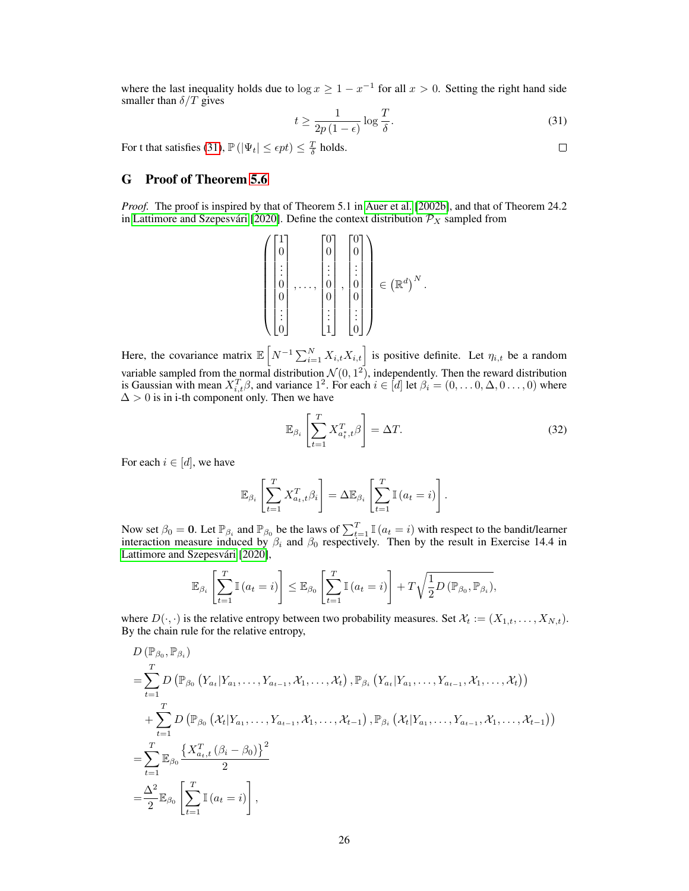where the last inequality holds due to  $\log x \ge 1 - x^{-1}$  for all  $x > 0$ . Setting the right hand side smaller than  $\delta/T$  gives

<span id="page-25-0"></span>
$$
t \ge \frac{1}{2p\left(1 - \epsilon\right)} \log \frac{T}{\delta}.\tag{31}
$$

For t that satisfies [\(31\)](#page-25-0),  $\mathbb{P}(|\Psi_t| \leq \epsilon pt) \leq \frac{T}{\delta}$  holds.

# G Proof of Theorem [5.6](#page-7-1)

*Proof.* The proof is inspired by that of Theorem 5.1 in [Auer et al.](#page-9-14) [\[2002b\]](#page-9-14), and that of Theorem 24.2 in [Lattimore and Szepesvári](#page-10-9) [\[2020\]](#page-10-9). Define the context distribution  $\mathcal{P}_X$  sampled from

$$
\left(\begin{bmatrix}1\\0\\ \vdots\\0\\0\\ \vdots\\0\end{bmatrix},\ldots,\begin{bmatrix}0\\0\\ \vdots\\0\\0\\ \vdots\\0\end{bmatrix},\begin{bmatrix}0\\0\\ \vdots\\0\\0\\ \vdots\\0\end{bmatrix}\right)\in\left(\mathbb{R}^d\right)^N.
$$

Here, the covariance matrix  $\mathbb{E}\left[N^{-1}\sum_{i=1}^{N}X_{i,t}X_{i,t}\right]$  is positive definite. Let  $\eta_{i,t}$  be a random variable sampled from the normal distribution  $\mathcal{N}(0, 1^2)$ , independently. Then the reward distribution is Gaussian with mean  $X_{i,t}^T \beta$ , and variance  $1^2$ . For each  $i \in [d]$  let  $\beta_i = (0, \dots 0, \Delta, 0 \dots, 0)$  where  $\Delta > 0$  is in i-th component only. Then we have

<span id="page-25-1"></span>
$$
\mathbb{E}_{\beta_i} \left[ \sum_{t=1}^T X_{a_t^*,t}^T \beta \right] = \Delta T. \tag{32}
$$

For each  $i \in [d]$ , we have

 $\Box$ 

$$
\mathbb{E}_{\beta_i} \left[ \sum_{t=1}^T X_{a_t, t}^T \beta_i \right] = \Delta \mathbb{E}_{\beta_i} \left[ \sum_{t=1}^T \mathbb{I} \left( a_t = i \right) \right].
$$

Now set  $\beta_0 = 0$ . Let  $\mathbb{P}_{\beta_i}$  and  $\mathbb{P}_{\beta_0}$  be the laws of  $\sum_{t=1}^T \mathbb{I}(a_t = i)$  with respect to the bandit/learner interaction measure induced by  $\beta_i$  and  $\beta_0$  respectively. Then by the result in Exercise 14.4 in [Lattimore and Szepesvári](#page-10-9) [\[2020\]](#page-10-9),

$$
\mathbb{E}_{\beta_i} \left[ \sum_{t=1}^T \mathbb{I} \left( a_t = i \right) \right] \leq \mathbb{E}_{\beta_0} \left[ \sum_{t=1}^T \mathbb{I} \left( a_t = i \right) \right] + T \sqrt{\frac{1}{2} D \left( \mathbb{P}_{\beta_0}, \mathbb{P}_{\beta_i} \right)},
$$

where  $D(\cdot, \cdot)$  is the relative entropy between two probability measures. Set  $\mathcal{X}_t := (X_{1,t}, \dots, X_{N,t}).$ By the chain rule for the relative entropy,

$$
D(\mathbb{P}_{\beta_{0}}, \mathbb{P}_{\beta_{i}})
$$
\n
$$
= \sum_{t=1}^{T} D(\mathbb{P}_{\beta_{0}} (Y_{a_{t}} | Y_{a_{1}}, \ldots, Y_{a_{t-1}}, \mathcal{X}_{1}, \ldots, \mathcal{X}_{t}), \mathbb{P}_{\beta_{i}} (Y_{a_{t}} | Y_{a_{1}}, \ldots, Y_{a_{t-1}}, \mathcal{X}_{1}, \ldots, \mathcal{X}_{t}))
$$
\n
$$
+ \sum_{t=1}^{T} D(\mathbb{P}_{\beta_{0}} (\mathcal{X}_{t} | Y_{a_{1}}, \ldots, Y_{a_{t-1}}, \mathcal{X}_{1}, \ldots, \mathcal{X}_{t-1}), \mathbb{P}_{\beta_{i}} (\mathcal{X}_{t} | Y_{a_{1}}, \ldots, Y_{a_{t-1}}, \mathcal{X}_{1}, \ldots, \mathcal{X}_{t-1}))
$$
\n
$$
= \sum_{t=1}^{T} \mathbb{E}_{\beta_{0}} \frac{\left\{ X_{a_{t}, t}^{T} (\beta_{i} - \beta_{0}) \right\}^{2}}{2}
$$
\n
$$
= \frac{\Delta^{2}}{2} \mathbb{E}_{\beta_{0}} \left[ \sum_{t=1}^{T} \mathbb{I} (a_{t} = i) \right],
$$

```
\Box
```